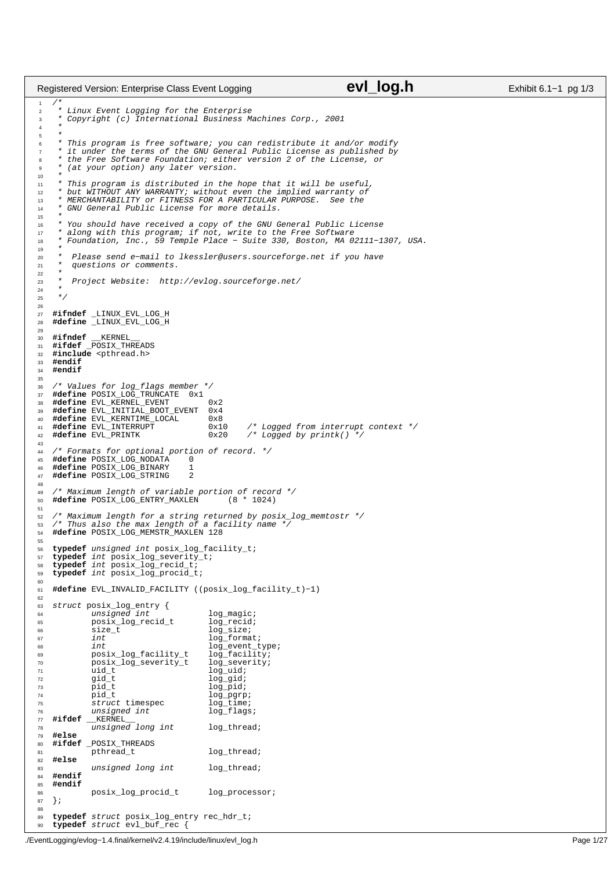```
/*
2 * Linux Event Logging for the Enterprise
<sup>2</sup><br>3 * Copyright (c) International Business Machines Corp., 2001<br>4 *
 4 *
\frac{5}{6}6 * This program is free software; you can redistribute it and/or modify
7 * it under the terms of the GNU General Public License as published by
8 * the Free Software Foundation; either version 2 of the License, or
      9 * (at your option) any later version.
10<br>1111 * This program is distributed in the hope that it will be useful,
12 * but WITHOUT ANY WARRANTY; without even the implied warranty of
13 * MERCHANTABILITY or FITNESS FOR A PARTICULAR PURPOSE. See the
14 * GNU General Public License for more details.
15
16 * You should have received a copy of the GNU General Public License
17 * along with this program; if not, write to the Free Software
18 * Foundation, Inc., 59 Temple Place − Suite 330, Boston, MA 02111−1307, USA.
19<br>2020 * Please send e−mail to lkessler@users.sourceforge.net if you have
21 * questions or comments.
22<br>23
      23 * Project Website: http://evlog.sourceforge.net/
24<br>25* /
26
27 #ifndef _LINUX_EVL_LOG_H
28 #define _LINUX_EVL_LOG_H
29
30 #ifndef __KERNEL__
31 #ifdef _POSIX_THREADS
32 #include <pthread.h>
33 #endif
    34 #endif
35
36 /* Values for log_flags member */
37 #define POSIX_LOG_TRUNCATE 0x1
38 #define EVL_KERNEL_EVENT 0x2<br>39 #define EVL_INITIAL_BOOT_EVENT 0x4
39 #define EVL_INITIAL_BOOT_EVENT 0x4
    #define EVL_KERNTIME_LOCAL<br>#define EVL_INTERRUPT<br>#define EVL_PRINTK
41 #define EVL_INTERRUPT 0x10 /* Logged from interrupt context */<br>42 #define EVL_PRINTK 0x20 /* Logged by printk() */
                                                           <sup>--</sup>begged by printk()
43
44 /* Formats for optional portion of record. */<br>45 #define POSIX_LOG_NODATA 0
45 #define POSIX_LOG_NODATA 0
46 #define POSIX_LOG_BINARY 1
47 #define POSIX_LOG_STRING 2
48
49 /* Maximum length of variable portion of record */
50 #define POSIX_LOG_ENTRY_MAXLEN (8 * 1024)
51
52 /* Maximum length for a string returned by posix_log_memtostr */
53 /* Thus also the max length of a facility name */
54 #define POSIX_LOG_MEMSTR_MAXLEN 128
55
56 typedef unsigned int posix_log_facility_t;<br>57 typedef int posix log severity t;
    57 typedef int posix_log_severity_t;
58 typedef int posix_log_recid_t;<br>59 typedef int posix log procid t
    59 typedef int posix_log_procid_t;
60
61 #define EVL_INVALID_FACILITY ((posix_log_facility_t)−1)
62
63 struct posix_log_entry {
64 unsigned int log_magic;
65 posix_log_recid_t log_recid;
66 size_t - - log_size;<br>67 size_t - log_size;
67 int log_format;<br>68 int log_event t
<sup>68</sup> int log_event_type;<br><sup>69</sup> posix_log_facility_t log_facility;
69 posix_log_facility_t log_facility;<br>70 posix log severity t log severity;
               posix_log_severity_t<br>uid t
71 uid_t - - - - log_uid;<br>
72 gid_t log_gid;
72 gid_t log_gid;<br>
73 pid_t log_pid;
73 pid_t log_pid;<br>
74 pid_t log_pgrp
                                                log_pgrp;<br>log_time;<br>log_flags;
75 struct timespec
<sup>76</sup> unsigned int
77 #ifdef __KERNEL<br>78 unsigned
\frac{1}{78} unsigned long int log_thread;
    79 #else
80 #ifdef _POSIX_THREADS
                                                log_thread;
82 #else
83 unsigned long int log_thread;<br>84 #endif
84 #endif
    85 #endif
86 posix_log_procid_t log_processor;<br>87 };
    87 }; 
88
89 typedef struct posix_log_entry rec_hdr_t;
90 typedef struct evl_buf_rec {
Registered Version: Enterprise Class Event Logging evidence CVI log.h Exhibit 6.1−1 pg 1/3
```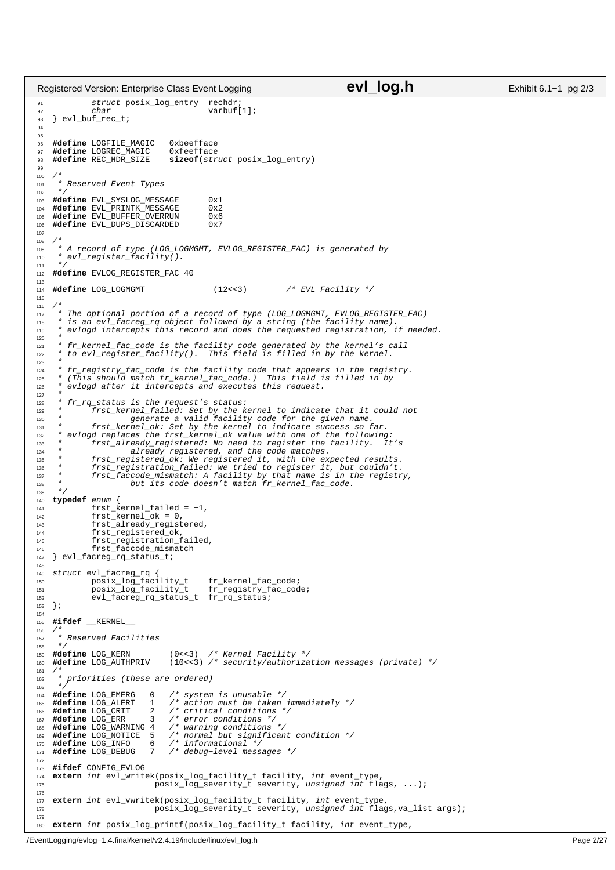```
91 struct posix_log_entry rechdr;<br>char varbuf
92 char char varbuf[1];
93 } evl_buf_rec_t;
94
95
96 #define LOGFILE_MAGIC 0xbeefface
97 #define LOGREC_MAGIC<br>98 #define REC_HDR_SIZE
98 #define REC_HDR_SIZE sizeof(struct posix_log_entry)
99
100<br>101* Reserved Event Types
102<br>103
<sup>103</sup> #define EVL_SYSLOG_MESSAGE 0x1<br>104 #define EVL PRINTK MESSAGE 0x2
     #define EVL_PRINTK_MESSAGE 0x2<br>#define EVL_BUEEER OVERRUN 0x6
105 #define EVL_BUFFER_OVERRUN
106 #define EVL_DUPS_DISCARDED 0x7
107
108<br>109
      * A record of type (LOG_LOGMGMT, EVLOG_REGISTER_FAC) is generated by
100 * evl_register_facility().
111112 #define EVLOG_REGISTER_FAC 40
113
114 #define LOG_LOGMGMT (12<<3) /* EVL Facility */
115
116
117 * The optional portion of a record of type (LOG_LOGMGMT, EVLOG_REGISTER_FAC)
118 * is an evl_facreg_rq object followed by a string (the facility name).
119 * evlogd intercepts this record and does the requested registration, if needed.
120121 * fr_kernel_fac_code is the facility code generated by the kernel's call
122 * to evl_register_facility(). This field is filled in by the kernel.
123<br>124<sup>124</sup> * fr_registry_fac_code is the facility code that appears in the registry.<br><sup>125</sup> * (This should match fr kernel fac code.) This field is filled in by
125 * (This should match fr_kernel_fac_code.) This field is filled in by
126 * evlogd after it intercepts and executes this request.
127<br>128
128 * fr\_rq\_status is the request's status:<br>129 * frst\_kernel\_failed: Set by the k129 * frst_kernel_failed: Set by the kernel to indicate that it could not
130 * generate a valid facility code for the given name.
131 * frst_kernel_ok: Set by the kernel to indicate success so far.
132 * evlogd replaces the frst_kernel_ok value with one of the following:
133 * r = \frac{r}{13} + \frac{r}{13} frst_already_registered: No need to register the facility. It's
already registered, and the code matches.<br>135 * frst_registered_ok: We registered it, with the expected results.<br>136 * frst_registration_failed: We tried to register it, but couldn't.<br>137 * frst_faccode_mismatch: A facilit
138 * but its code doesn't match fr_kernel_fac_code.<br>
139 */
139 + 7<br>140 typ
140 typedef enum {
141 frst_kernel_failed = −1,
142 frst_kernel_ok = 0,<br>143 frst already regist
                 frst_already_registered,
144 frst_registered_ok,
145 frst_registration_failed,
146 frst_faccode_mismatch
147 } evl_facreg_rq_status_t;
148
149 struct evl_facreg_rq {
                ---------------<br>150 posix_log_facility_t fr_kernel_fac_code;<br>150 posix_log_facility_t fr_registry_fac_cod
151 posix_log_facility_t fr_registry_fac_code;
152 evl_facreg_rq_status_t fr_rq_status;<br>153 };
    153 };
154
155 #ifdef __KERNEL__
\begin{array}{c} 156 \\ 157 \end{array}* Reserved Facilities
158 */<br>159 #define LOG_KERN
159 #define LOG_KERN (0<<3) /* Kernel Facility */
160 #define LOG_AUTHPRIV (10<<3) /* security/authorization messages (private) */
161 /162 * priorities (these are ordered)
163 */<br>164 #define LOG_EMERG
                                  0 /* system is unusable */
165 #define LOG_ALERT 1 /* action must be taken immediately */
166 #define LOG_CRIT 2 /* critical conditions */
167 #define LOG_ERR 3 /* error conditions */<br>168 #define LOG_WARNING 4 /* warning conditions
168 #define LOG_WARNING 4 /* warning conditions */
169 #define LOG_NOTICE 5 /* normal but significant condition */
169 #define LOG_NOTICE 5 /* normal but signi<br>170 #define LOG_INFO 6 /* informational */<br>171 #define LOG_DEBUG 7 /* debug-level mess
171 #define LOG_DEBUG 7 /* debug−level messages */
172
173 #ifdef CONFIG_EVLOG
174 extern int evl_writek(posix_log_facility_t facility, int event_type,<br>
175 posix_log_severity_t severity, unsigned int flags, ...);
176
177 extern int evl_vwritek(posix_log_facility_t facility, int event_type,<br>posix_log_severity_t severity, unsigned int flag
                                    posix_log_severity_t severity, unsigned int flags,va_list args);
179
180 extern int posix_log_printf(posix_log_facility_t facility, int event_type, 
Registered Version: Enterprise Class Event Logging evidence Computer Computer Exhibit 6.1−1 pg 2/3
```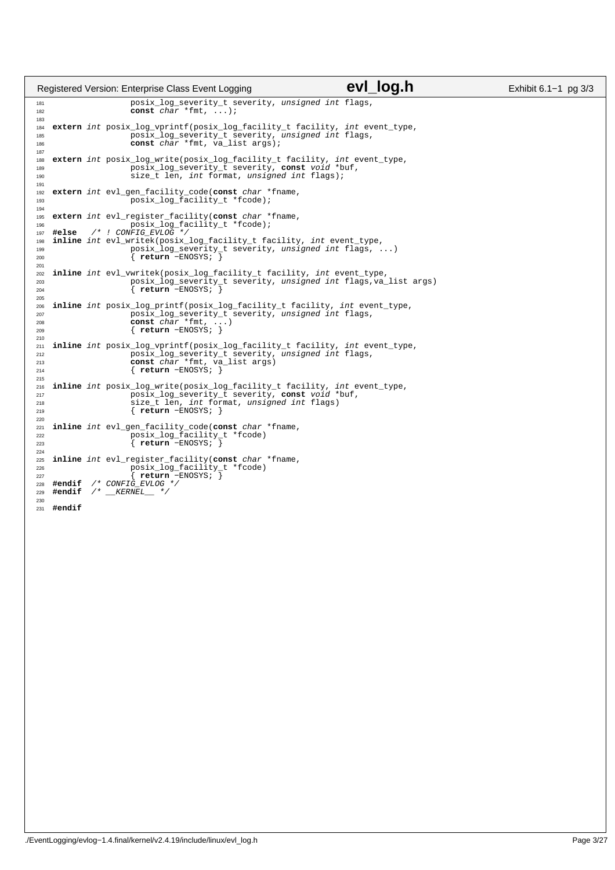|                                 |        | Registered Version: Enterprise Class Event Logging                                                                                                                                                       | evi log.h | Exhibit 6.1-1 pg 3/3 |
|---------------------------------|--------|----------------------------------------------------------------------------------------------------------------------------------------------------------------------------------------------------------|-----------|----------------------|
| 181<br>182                      |        | posix_log_severity_t severity, unsigned int flags,<br>const $char *fmt, ,);$                                                                                                                             |           |                      |
| 183<br>184<br>185<br>186<br>187 |        | extern int posix_log_vprintf(posix_log_facility_t facility, int event_type,<br>posix_log_severity_t severity, unsigned int flags,<br>const char *fmt, va_list args);                                     |           |                      |
| 188<br>189<br>190<br>191        |        | extern int posix_log_write(posix_log_facility_t facility, int event_type,<br>posix_log_severity_t severity, const void *buf,<br>size t len, int format, unsigned int flags);                             |           |                      |
| 192<br>193<br>194               |        | extern int evl gen facility code(const char *fname,<br>posix_log_facility_t *fcode);                                                                                                                     |           |                      |
| 195<br>196                      | #else  | extern int evl_register_facility(const char *fname,<br>posix_log_facility_t *fcode);<br>$/*$ ! CONFIG_EVLOG */                                                                                           |           |                      |
| 197<br>198<br>199<br>200<br>201 |        | inline int evl_writek(posix_log_facility_t facility, int event_type,<br>posix_log_severity_t severity, unsigned int flags, )<br>$\{$ return -ENOSYS; $\}$                                                |           |                      |
| 202<br>203<br>204<br>205        |        | inline int evl_vwritek(posix_log_facility_t facility, int event_type,<br>posix_log_severity_t severity, unsigned int flags, va_list args)<br>$\{$ return -ENOSYS; $\}$                                   |           |                      |
| 206<br>207<br>208<br>209<br>210 |        | inline int posix_log_printf(posix_log_facility_t facility, int event_type,<br>posix log severity t severity, unsigned int flags,<br>const $char *fmt$ , )<br>$\{$ return -ENOSYS; $\}$                   |           |                      |
| 211<br>212<br>213<br>214<br>215 |        | inline int posix_log_vprintf(posix_log_facility_t facility, int event_type,<br>posix_log_severity_t severity, unsigned int flags,<br>const <i>char</i> *fmt, va_list args)<br>$\{$ return -ENOSYS; $\}$  |           |                      |
| 216<br>217<br>218<br>219<br>220 |        | inline int posix log write(posix log facility t facility, int event type,<br>posix_log_severity_t severity, const void *buf,<br>size_t len, int format, unsigned int flags)<br>$\{$ return -ENOSYS; $\}$ |           |                      |
| 221<br>222<br>223<br>224        |        | inline int evl_gen_facility_code(const char *fname,<br>posix_log_facility_t *fcode)<br>$\{$ return -ENOSYS; $\}$                                                                                         |           |                      |
| 225<br>226<br>227<br>228<br>229 |        | inline int evl_register_facility(const char *fname,<br>posix_log_facility_t *fcode)<br>$\{$ return -ENOSYS; $\}$<br>$\#endif$ /* CONFIG_EVLOG */<br>#endif $/*$ KERNEL $*/$                              |           |                      |
| 230<br>231                      | #endif |                                                                                                                                                                                                          |           |                      |
|                                 |        |                                                                                                                                                                                                          |           |                      |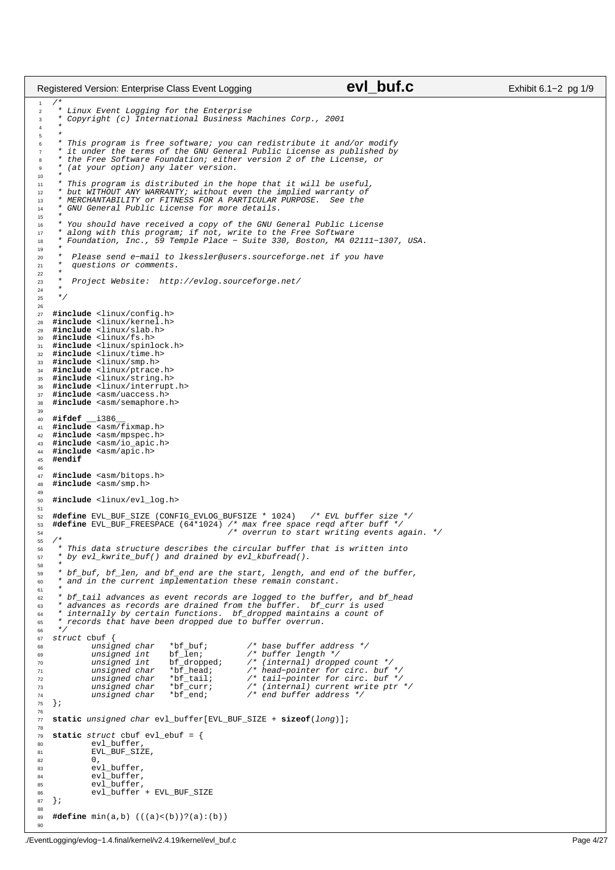```
/*
2 * Linux Event Logging for the Enterprise
<sup>2</sup><br>3 * Copyright (c) International Business Machines Corp., 2001<br>4 *
 4 *
\frac{5}{6}6 * This program is free software; you can redistribute it and/or modify
7 * it under the terms of the GNU General Public License as published by
8 * the Free Software Foundation; either version 2 of the License, or
      9 * (at your option) any later version.
10<br>1111 * This program is distributed in the hope that it will be useful,
12 * but WITHOUT ANY WARRANTY; without even the implied warranty of
13 * MERCHANTABILITY or FITNESS FOR A PARTICULAR PURPOSE. See the
14 * GNU General Public License for more details.
15
16 * You should have received a copy of the GNU General Public License
17 * along with this program; if not, write to the Free Software
18 * Foundation, Inc., 59 Temple Place − Suite 330, Boston, MA 02111−1307, USA.
<sub>19</sub>
20 * Please send e−mail to lkessler@users.sourceforge.net if you have
21 * questions or comments.
rac{22}{23}23 * Project Website: http://evlog.sourceforge.net/
24<br>25* /
26
27 #include <linux/config.h>
28 #include <linux/kernel.h>
29 #include <linux/slab.h><br>30 #include <linux/fs h>
    30 #include <linux/fs.h>
31 #include <linux/spinlock.h>
32 #include <linux/time.h>
33 #include <linux/smp.h>
34 #include <linux/ptrace.h>
35 #include <linux/string.h>
36 #include <linux/interrupt.h>
37 #include <asm/uaccess.h>
38 #include <asm/semaphore.h>
39
40 #ifdef __i386__
41 #include <asm/fixmap.h>
42 #include <asm/mpspec.h>
43 #include <asm/io_apic.h>
44 #include <asm/apic.h><br>45 #endif
    45 #endif
\frac{46}{47}47 #include <asm/bitops.h><br>48 #include <asm/smp.h>
    48 #include <asm/smp.h>
49
50 #include <linux/evl_log.h>
51
<sup>52</sup> #define EVL_BUF_SIZE (CONFIG_EVLOG_BUFSIZE * 1024) /* EVL buffer size */<br>53 #define EVL BUF FREESPACE (64*1024) /* max free space regd after buff */
53 #define EVL_BUF_FREESPACE (64*1024) /* max free space reqd after buff */
54 /* overrun to start writing events again. */
55 /*
56 * This data structure describes the circular buffer that is written into<br>57 * by evl kwrite buf() and drained by evl kbufread().
     57 * by evl_kwrite_buf() and drained by evl_kbufread().
58<br>59
     * bf_buf, bf_len, and bf_end are the start, length, and end of the buffer,
60 * and in the current implementation these remain constant.
6162 * bf_tail advances as event records are logged to the buffer, and bf_head
63 * advances as records are drained from the buffer. bf_curr is used
64 * internally by certain functions. bf_dropped maintains a count of
65 * records that have been dropped due to buffer overrun.
66 */<br>67 51rac{67}{68} struct cbuf \{<sup>68</sup> unsigned char
68 unsigned char *bf_buf; /* base buffer address */
69 unsigned int bf_len; /* buffer length */
70 unsigned int bf_dropped; /* (internal) dropped count */
71 unsigned char *bf_head; /* head−pointer for circ. buf */
72 unsigned char *bf_tail; /* tail−pointer for circ. buf */
73 unsigned char *bf_curr; /* (internal) current write ptr */
74 unsigned char *bf_end; /* end buffer address */
\begin{array}{c} 74 \\ 75 \end{array};
76
77 static unsigned char evl_buffer[EVL_BUF_SIZE + sizeof(long)];
78
79 static struct cbuf evl_ebuf = {
80 evl_buffer,
81 EVL_BUF_SIZE,
\begin{array}{ccc} 82 & 0 \\ 83 & \text{eV} \end{array}83 evl_buffer,<br>84 evl buffer,
84 evl_buffer,<br>85 evl_buffer.
                ev1buffer,
86 evl_buffer + EVL_BUF_SIZE<br>87 };
    87 };
88
89 #define min(a,b) (((a)<(b))?(a):(b))
Registered Version: Enterprise Class Event Logging evice Case Contract Class Exhibit 6.1−2 pg 1/9
```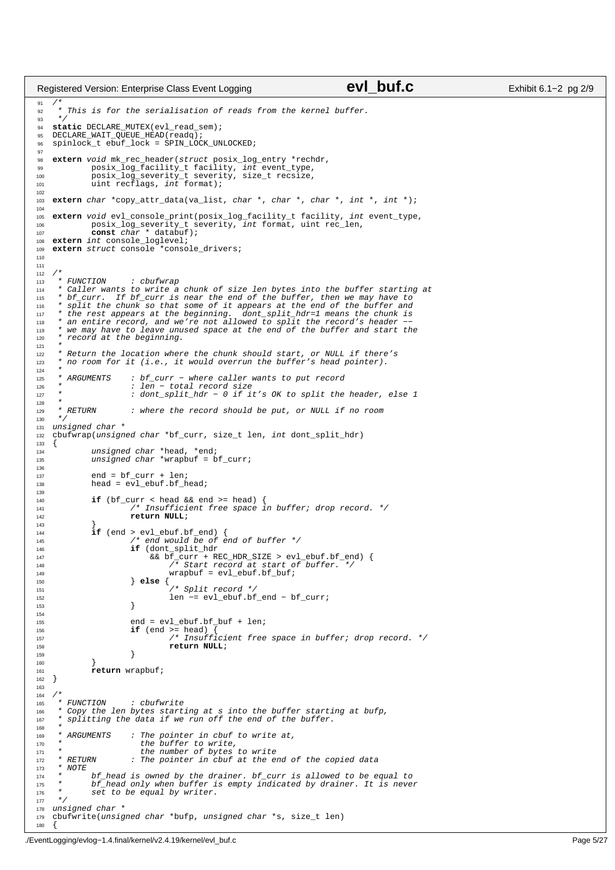```
91 /*
92 * This is for the serialisation of reads from the kernel buffer.
93<br>94
    static DECLARE_MUTEX(evl_read_sem);
 95 DECLARE_WAIT_QUEUE_HEAD(readq);
96 spinlock_t ebuf_lock = SPIN_LOCK_UNLOCKED;
97
98 extern void mk_rec_header(struct posix_log_entry *rechdr,<br>99 posix_log_facility_t_facility, int event type,
99 posix_log_facility_t facility, int event_type,<br>100 posix log severity t severity, size t recsize,
100 posix_log_severity_t severity, size_t recsize,<br>101 uint recflags, int format);
                uint recflags, int format);
102
    extern char *copy attr data(va list, char *, char *, char *, int *, int *);
104
105 extern void evl_console_print(posix_log_facility_t facility, int event_type,
106 posix_log_severity_t severity, int format, uint rec_len, 
107 const char * databuf);
108 extern int console_loglevel;<br>109 extern struct console *conso
    extern struct console *console_drivers;
110
111
112 /*
113 * FUNCTION : cbufwrap<br>114 * Caller wants to write a
<sup>114</sup> * Caller wants to write a chunk of size len bytes into the buffer starting at<br><sup>115</sup> * bf curr. If bf curr is near the end of the buffer, then we may have to
<sup>115</sup> * bf_curr. If bf_curr is near the end of the buffer, then we may have to<br><sup>116</sup> * split the chunk so that some of it appears at the end of the buffer and<br><sup>117</sup> * the rest appears at the beginning. dont_split_
118 * an entire record, and we're not allowed to split the record's header
<sup>119</sup> * we may have to leave unused space at the end of the buffer and start the<br><sup>120</sup> * record at the beginning
      * record at the beginning.
121<br>122<sup>122</sup> * Return the location where the chunk should start, or NULL if there's<br><sup>21</sup> * no room for it (i.e., it would overrun the buffer's head pointer).
      * no room for it (i.e., it would overrun the buffer's head pointer).
124 *<br>125 * ARGUMENTS
125 * ARGUMENTS : bf_curr – where caller wants to put record<br>126 * : len – total record size
                           : ¤i_caii = wheie cailei<br>: len − total record size
127 * : dont_split_hdr − 0 if it's OK to split the header, else 1
\begin{array}{ccc} 128 & & {\color{blue}\star} \\ 129 & & {\color{blue}\star} & RETURN \end{array}<sup>129</sup> * RETURN : where the record should be put, or NULL if no room */\star131 unsigned char *<br>132 cbufwrap(unsign
    cbufwrap(unsigned char *bf_curr, size_t len, int dont_split_hdr)
\begin{matrix} 133 \\ 134 \end{matrix}134 unsigned char *head, *end;
135 unsigned char *wrapbuf = bf_curr;
136
137 end = bf_curr + len;<br>138 head = evl ebuf.bf h
               head = ev1_e-ebuf.bf_head;
139
140 if (bf_curr < head && end >= head) {
141 /* Insufficient free space in buffer; drop record. */
142 return NULL;
143 }
144 if (end > evl_ebuf.bf_end) {
145 /* end would be of end of buffer */
146 if (dont_split_hdr <br>146 if (dont_split_hdr <br>& & bf curr + R.
147 && bf_curr + REC_HDR_SIZE > evl_ebuf.bf_end) {
148 /* Start record at start of buffer. */
149 \text{wraphu} = \text{evl\_ebuf}.\text{bf.bf\_buf};<br>150 \text{else }150 } else {
151 /* Split record */
152 len −= evl_ebuf.bf_end − bf_curr;<br>
153 len −= evl_ebuf.bf_end − bf_curr;
\left\{\right\}154
155 end = evl_ebuf.bf_buf + len;
156 if (end >= head) {
157 \begin{array}{ccc} \text{157} & \text{158} \\ \text{157} & \text{159} \\ \text{158} & \text{158} \end{array} This is the space in buffer; drop record. */
158 return NULL;<br>159 159
\left\{\right.} 159
160 }
161 return wrapbuf;
    \{163
164 /*<br>165 *
        165 * FUNCTION : cbufwrite
166 * Copy the len bytes starting at s into the buffer starting at bufp,
167 * splitting the data if we run off the end of the buffer.
\frac{168}{169}ARGUMENTS : The pointer in cbuf to write at,
170 * the buffer to write,
171 * the number of bytes to write
172 * RETURN : The pointer in cbuf at the end of the copied data<br>173 * NOTE
173 * NOTE
174 * bf_head is owned by the drainer. bf_curr is allowed to be equal to
175 * bf_head only when buffer is empty indicated by drainer. It is never
176 * set to be equal by writer.
177 + 7<br>178 \text{uns}178 unsigned char *<br>179 chufwrite(unsig
    cbufwrite(unsigned char *bufp, unsigned char *s, size_t len)
180
Registered Version: Enterprise Class Event Logging evice CVI buf.c Exhibit 6.1−2 pg 2/9
```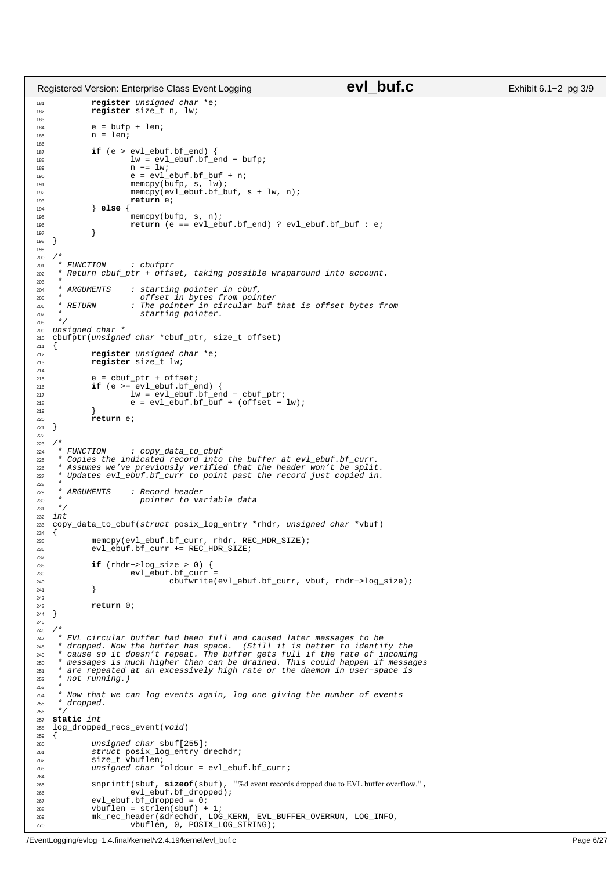```
181 register unsigned char *e;
182 register size_t n, lw;
183
184 e = bufp + len;
185 n = len;
186
187 if (e > evl_ebuf.bf_end) {<br>
188 lw = evl_ebuf.bf_end – bufp;
189 n −= lw;<br>190 e = evl
190 e = evl_ebuf.bf_buf + n;<br>
191 memcpy(bufp, s, lw);
191 memcpy(bufp, s, lw);
192 memcpy(evl_ebuf.bf_buf, s + lw, n);
r = \frac{m \pm m \pm \frac{1}{2} \sqrt{2}}{193}<br>194 else {
194 } else {
                          memcpy(bufp, s, n);
196 return (e == evl_ebuf.bf_end) ? evl_ebuf.bf_buf : e;<br>
197
197 }
   }
199
200 /*
        FUNCTION : cbufptr
202 * Return cbuf_ptr + offset, taking possible wraparound into account.
203 *
204 * ARGUMENTS : starting pointer in cbuf,
205 * offset in bytes from pointer
206 * RETURN : The pointer in circular buf that is offset bytes from
207 * starting pointer.
208 */
209 unsigned char *<br>210 Chufptr(unsignee
    210 cbufptr(unsigned char *cbuf_ptr, size_t offset)
211 {<br>212
               register unsigned char *e;
213 register size_t lw;
214215 e = \text{cbuf\_ptr} + \text{offset};<br>216 \text{if } (e) = \text{ev} \text{ which } \text{cf}\textbf{if} (e >= evl_ebuf.bf_end) {
217 lw = evl_ebuf.bf_end − cbuf_ptr;
218 e = evl_ebuf.bf_buf + (offset − lw);
\frac{219}{220}return e;
221 }
222
\begin{array}{ccc} \text{{\tiny 223}} & \text{{\tiny \diagup\star}}\\ \text{{\tiny 224}} & \text{{\tiny \uparrow}} & \text{{\tiny FUNCTION}} \end{array}<sup>224</sup> * FUNCTION : copy_data_to_cbuf<br><sup>225</sup> * Copies the indicated record into
225 * Copies the indicated record into the buffer at evl_ebuf.bf_curr.
226 * Assumes we've previously verified that the header won't be split.
227 * Updates evl_ebuf.bf_curr to point past the record just copied in.
228<br>229229 * ARGUMENTS : Record header<br>230 * pointer to ya
                            pointer to variable data
231 */
232 int
    233 copy_data_to_cbuf(struct posix_log_entry *rhdr, unsigned char *vbuf)
234 \{234, 235\}235 memcpy(evl_ebuf.bf_curr, rhdr, REC_HDR_SIZE);
236 evl_ebuf.bf_curr += REC_HDR_SIZE;
237
238 if (rhdr−>log_size > 0) {<br>
239 evl_ebuf.bf_curr =
240 cbufwrite(evl_ebuf.bf_curr, vbuf, rhdr−>log_size);
241 }
242
243 return 0;
   \}245
246 /*
---<br>247 * EVL circular buffer had been full and caused later messages to be<br>248 * dropped. Now the buffer has space. (Still it is better to identi
248 * dropped. Now the buffer has space. (Still it is better to identify the
249 * cause so it doesn't repeat. The buffer gets full if the rate of incoming
250 * messages is much higher than can be drained. This could happen if messages
251 * are repeated at an excessively high rate or the daemon in user−space is
252 * not running.)
253<br>254
     * Now that we can log events again, log one giving the number of events
255 * dropped.
256
257 static int
    log_dropped_recs_event(void)
259260 unsigned char sbuf[255];
261 struct posix_log_entry drechdr;
262 size_t vbuflen;<br>263 size_t vbuflen;
               unsigned char *oldcur = evl\_ebuf.bf\_curr;264
265 snprintf(sbuf, sizeof(sbuf), "%d event records dropped due to EVL buffer overflow.", 
266 evl_ebuf.bf_dropped);
267 evl_ebuf.bf_dropped = 0;
268 vbuflen = strlen(sbuf) + 1;
269 mk_rec_header(&drechdr, LOG_KERN, EVL_BUFFER_OVERRUN, LOG_INFO,
270 vbuflen, 0, POSIX_LOG_STRING);
Registered Version: Enterprise Class Event Logging evice CVI buf.c Exhibit 6.1−2 pg 3/9
```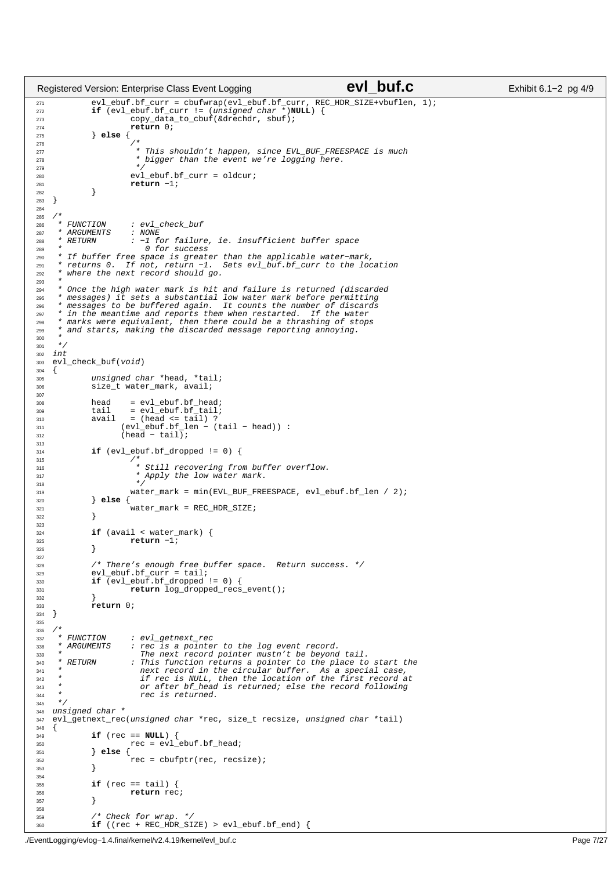```
271 evl_ebuf.bf_curr = cbufwrap(evl_ebuf.bf_curr, REC_HDR_SIZE+vbuflen, 1);
272 if (evl_ebuf.bf_curr != (unsigned char *)NULL) {
273 copy_data_to_cbuf(&drechdr, sbuf);<br>274 copy_data_to_cbuf(&drechdr, sbuf);
274 return 0;
275 } else {
276 /*
277 * This shouldn't happen, since EVL_BUF_FREESPACE is much
278 * bigger than the event we're logging here.
279 * /
280 evl_ebuf.bf_curr = oldcur;<br>
281 extern -1;
                          return −1;
\begin{array}{c} 282 \\ 283 \end{array}\{284
285 /*
288 * FUNCTION : evl_check_buf<br>287 * ARGUMENTS : NONE
        \begin{array}{c} \texttt{ARGUMENTS} \\ \texttt{RETURN} \end{array}288 * RETURN : −1 for failure, ie. insufficient buffer space
289 *<br>290 * If buffer free space is greate
290 * If buffer free space is greater than the applicable water−mark,
291 * returns 0. If not, return −1. Sets evl_buf.bf_curr to the location
292 * where the next record should go.
293 *
294 * Once the high water mark is hit and failure is returned (discarded<br>295 * messages) it sets a substantial low water mark before permitting
295 * messages) it sets a substantial low water mark before permitting
296 * messages to be buffered again. It counts the number of discards
297 * in the meantime and reports them when restarted. If the water
298 * marks were equivalent, then there could be a thrashing of stops
299 * and starts, making the discarded message reporting annoying.
300301 */<br>302 int
   int
303 evl_check_buf(void)
304<br>305
305 305 unsigned char *head, *tail;<br>306 312e t water mark, avail;
               size_t water_mark, avail;
307
308 head = evl_ebuf.bf_head;
309 tail = evl_ebuf.bf_tail;<br>310 avail = (head <= tail) ?
310 avail = (head <= tail) ?
311 (evl_ebuf.bf_len − (tail − head)) :
312 (head − tail);
313
314 if (evl_ebuf.bf_dropped != 0) {<br>315
315 / *
316 * Still recovering from buffer overflow.<br>317 * Apply the low water mark.
\begin{array}{ccc}\n\text{317} & & \star & \text{Apply} \text{ the low water mark.} \\
\star & & \star & \star\n\end{array}318 * /
319 water_mark = min(EVL_BUF_FREESPACE, evl_ebuf.bf_len / 2);<br>320 else {
               320 } else {
321<br>322<br>322322 }
323
\text{if} (avail < water_mark) {<br>\text{return} -1;
                         325 return −1;
326 }
327
328 \frac{1}{2} /* There's enough free buffer space. Return success. */<br>329 evl ebuf.bf curr = tail;
329 evl_ebuf.bf_curr = tail;<br>330 if (evl ebuf.bf dropped
330 if (evl_ebuf.bf_dropped != 0) {
331 return log_dropped_recs_event();
332 }
rac{333}{334} return 0;
   \}335
336 /*<br>337 *
337 * FUNCTION : evl_getnext_rec<br>338 * ARGUMENTS : rec is a pointe
338 * ARGUMENTS : rec is a pointer to the log event record.<br>339 * The next record pointer mustr't be beyond
339 * The next record pointer mustn't be beyond tail.<br>340 * RETURN : This function returns a pointer to the place to
                          : This function returns a pointer to the place to start the
341 * next record in the circular buffer. As a special case,
342 * if rec is NULL, then the location of the first record at
343 * or after bf_head is returned; else the record following
                            rec is returned.
345 */
346 unsigned char *
347 evl_getnext_rec(unsigned char *rec, size_t recsize, unsigned char *tail)
348if (rec == NULL) {
350 \text{rec} = \text{evl\_ebuf.bf\_head};<br>351 \text{else }351 } else {
352 \text{rec} = \text{cbufptr}(\text{rec}, \text{resize});353 }
354
\frac{355}{1} if (rec == tail) {
356 return rec;
357 }
358
359 /* Check for wrap. */
360 if ((rec + REC_HDR_SIZE) > evl_ebuf.bf_end) {
Registered Version: Enterprise Class Event Logging evice CVI buf.c Exhibit 6.1−2 pg 4/9
```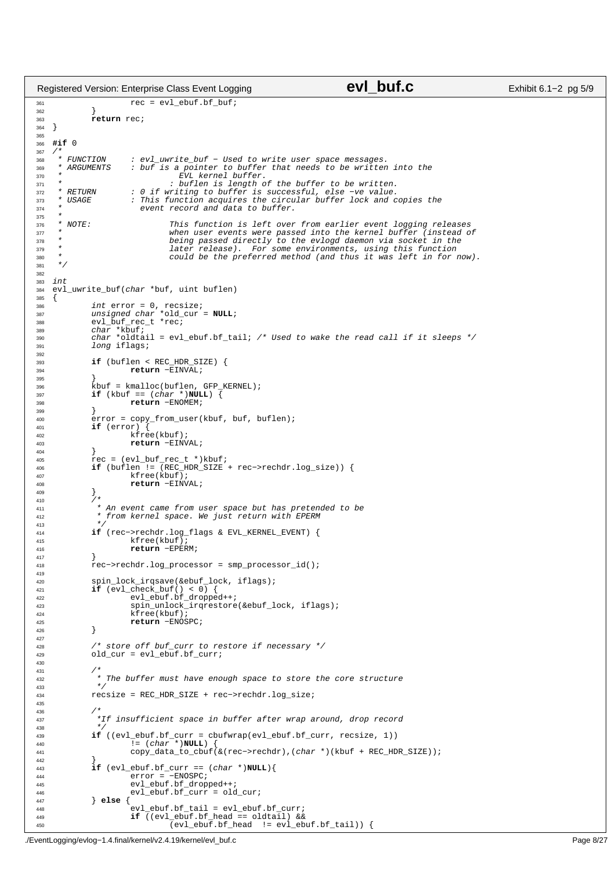```
361 rec = evl ebuf.bf buf;
362 }
rac{1}{363} return rec;
    \{365
366 #if 0
\begin{array}{ccc} 367 & \diagup\star & \\ 368 & \ast & FUNCTION \end{array}368 * FUNCTION : evl_uwrite_buf − Used to write user space messages.
369 * ARGUMENTS : buf is a pointer to buffer that needs to be written into the \frac{370}{2} *
370 * EVL kernel buffer.
        371 * : buflen is length of the buffer to be written.<br>RETURN : 0 if writing to buffer is successful, else -ve value.
372 * RETURN : 0 if writing to buffer is successful, else −ve value.
373 * USAGE : This function acquires the circular buffer lock and copies the
374 * event record and data to buffer.
375 * 
376 * NOTE: This function is left over from earlier event logging releases
377 * when user events were passed into the kernel buffer (instead of 
378 * being passed directly to the evlogd daemon via socket in the<br>direct passed directly to the evlogd daemon via socket in the<br>later release). For some environments, using this function
<sup>379</sup> *                           later release). For some environments, using this function<br><sup>380</sup> *                   could be the preferred method (and thus it was left in for 1
\frac{1}{380} * could be the preferred method (and thus it was left in for now).
      \star /
382
383 int
    evl_uwrite_buf(char *buf, uint buflen)
385 {
386 int error = 0, recsize;
387 unsigned char *old_cur = NULL;
388 evl_buf_rec_t *rec;
389 char *kbuf;
390 char *oldtail = evl_ebuf.bf_tail; /* Used to wake the read call if it sleeps */
391 long iflags;
392
393 if (buflen < REC_HDR_SIZE) {
394 return −EINVAL;
395<br>396
                396 kbuf = kmalloc(buflen, GFP_KERNEL);
397 if (kbuf == (char *)NULL) {
398 return −ENOMEM;
399<br>400
                error = copy\_from\_user(kbuf, but, buffer);401 if (error) {
402<br>403<br>403<br>404<br>403<br>404<br>405<br>406<br>407<br>408<br>407<br>408<br>407<br>408<br>409return −EINVAL;<br>}
404<br>405
405 rec = (evl_buf_rec_t *)kbuf;
406 if (buflen != (REC_HDR_SIZE + rec−>rechdr.log_size)) {
407 kfree(kbuf);<br>
408 kfree(kbuf);<br>
408 <b>return -EINV
408 return −EINVAL;
409 }<br>410 /*
411 * An event came from user space but has pretended to be
412 * from kernel space. We just return with EPERM
413<br>414414 if (rec−>rechdr.log_flags & EVL_KERNEL_EVENT) {
                          kfree(kbuf);
416 return −EPERM;
417 }
418 rec−>rechdr.log_processor = smp_processor_id();
419
420 spin_lock_irqsave(&ebuf_lock, iflags);
421 if (evl_check_buf() < 0) {
422 evl_ebuf.bf_dropped++;
423 spin_unlock_irqrestore(&ebuf_lock, iflags);<br>
kfree(kbuf);
                          kfree(kbuf);
425 return −ENOSPC;
426 }
427
428 /* store off buf_curr to restore if necessary */<br>a9 old cur = evl ebuf.bf curr;
               old\_cur = ev1\_ebuf.bf\_curr;430
431<br>432
\begin{array}{ccc} \text{432} & \text{422} & \text{433} \end{array} \begin{array}{ccc} \text{433} & \text{443} \end{array}433 *434 recsize = REC_HDR_SIZE + rec−>rechdr.log_size;
435
436 /* 
437 *If insufficient space in buffer after wrap around, drop record */
438 * /439 if ((evl_ebuf.bf_curr = cbufwrap(evl_ebuf.bf_curr, recsize, 1)) 
440 and 1 \begin{bmatrix} 1 & 0 & 1 \\ 0 & 1 & 0 \\ 0 & 0 & 1 \end{bmatrix} (char *)NULL)<br>
8441 copy data to cbu:
                          441 copy_data_to_cbuf(&(rec−>rechdr),(char *)(kbuf + REC_HDR_SIZE));
442<br>443443 if \begin{aligned} \text{443} \quad \text{444} \quad \text{445} \quad \text{446} \quad \text{447} \quad \text{448} \quad \text{449} \quad \text{458} \quad \text{468} \quad \text{478} \quad \text{489} \quad \text{499} \quad \text{400} \quad \text{410} \quad \text{420} \quad \text{431} \quad \text{442} \quad \text{453} \quad \text{464} \quad \text{472} \quad \text{483} \quad \text{493} \quad \text{400} \444 error = −ENOSPC;
445 evl_ebuf.bf_dropped++;
446 evl\_ebuf.bf\_curr = old\_cur;<br>447 \} else {
447 } else {
448 evl_ebuf.bf_tail = evl_ebuf.bf_curr;
449 if ((evl_ebuf.bf_head == oldtail) &&
450 (evl_ebuf.bf_head != evl_ebuf.bf_tail)) {
Registered Version: Enterprise Class Event Logging evice CVI buf.c Exhibit 6.1−2 pg 5/9
```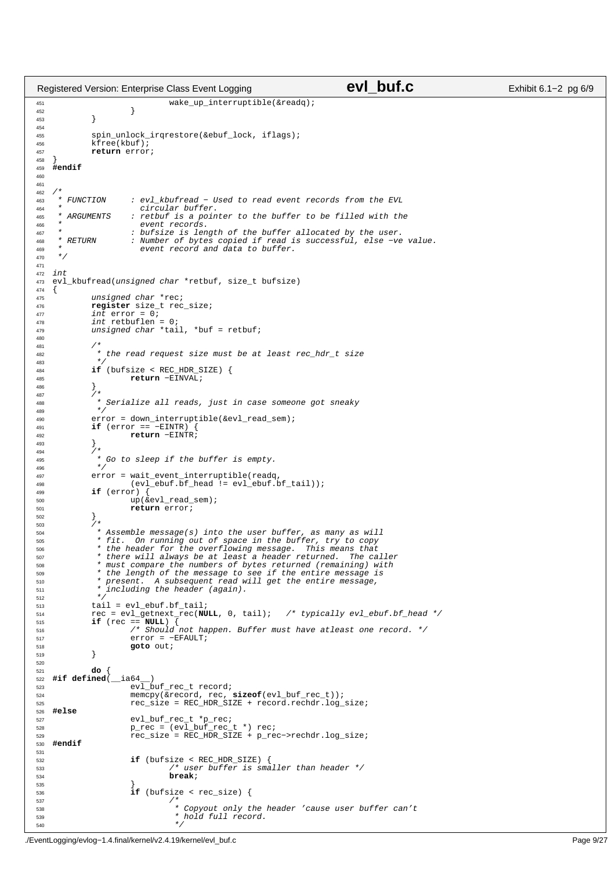```
451 wake_up_interruptible(&readq);<br>452 }
452 }
453 }
454
455 spin_unlock_irqrestore(&ebuf_lock, iflags);
             kfree(kbuf);
457 return error;
458 }
    459 #endif
460
461
462 /*<br>463 * FUNCTION
463 * FUNCTION : evl_kbufread − Used to read event records from the EVL
464 * circular buffer.<br>AGE * APCIMENTS : retbuf is a poir
                        : retbuf is a pointer to the buffer to be filled with the
466 * event records.<br>467 * : bufsize is len
<sup>467</sup> * : bufsize is length of the buffer allocated by the user.<br>468 * RETURN : Number of bytes copied if read is successful, else -ve
468 * RETURN : Number of bytes copied if read is successful, else −ve value.
469 * event record and data to buffer.<br>470 */
     \star /
471
472 int<br>473 evl
    evl_kbufread(unsigned char *retbuf, size_t bufsize)
\begin{matrix}\n474 \\
475\n\end{matrix}unsigned char *rec;
476 register size_t rec_size;
477 int error = 0;478 int retbuflen = 0;
479 unsigned char *tail, *buf = retbuf;
480
481<br>482
               482 * the read request size must be at least rec_hdr_t size
483<br>484
484 if (bufsize < REC_HDR_SIZE) {<br>
return -EINVAL:
                       485 return −EINVAL;
486 }
487 /* 
+ Serialize all reads, just in case someone got sneaky<br>
*/
489<br>490error = down_interruptible(&evl_read_sem);
491 if (error == −EINTR)<br>492 return −EINTF
              Freturn −EINTR;<br>+ \left\{\n \begin{array}{c}\n + \\
 \end{array}\n \right\}493 }
494<br>495
               * Go to sleep if the buffer is empty.
496 * /
497 error = wait_event_interruptible(readq,<br>498 (evl ebuf.bf head != evl ebuf.b
498 \text{(evl\_ebuf.bf\_head i = evl\_ebuf.bf\_tail)};<br>499 if (error) {
499 if (error) {
500 up(&evl_read_sem);
501 return error;
502<br>503
              \left\{ \right\} _{1\star }504 * Assemble message(s) into the user buffer, as many as will<br>* fit On running out of space in the buffer try to copy
505 * fit. On running out of space in the buffer, try to copy
506 * the header for the overflowing message. This means that
507 * there will always be at least a header returned. The caller
508 * must compare the numbers of bytes returned (remaining) with
509 * the length of the message to see if the entire message is
510 * present. A subsequent read will get the entire message,
511 * including the header (again).
512 *513 \text{tail} = \text{evl\_ebuf.bf\_tail}<br>514 \text{rec} = \text{evl\_getnext\_rec(Nl)}514 rec = evl_getnext_rec(NULL, 0, tail); /* typically evl_ebuf.bf_head */
515 if (rec == NULL) { 
516 /* Should not happen. Buffer must have atleast one record. */
517 error = −EFAULT;<br>518 goto out;
              518 goto out;
519 }
520
521 do {
522 #if defined(__ia64__)
\overline{c} evaluation \overline{c} evaluation \overline{c} evaluation \overline{c} evaluation \overline{c} record;
                       524 memcpy(&record, rec, sizeof(evl_buf_rec_t));
525 rec_size = REC_HDR_SIZE + record.rechdr.log_size;
526 #else
527 evl_buf_rec_t *p_rec;
528 p_rec = (evl_buf_rec_t *) rec;
529 rec_size = REC_HDR_SIZE + p_rec−>rechdr.log_size;
530 #endif
531
532 if (bufsize < REC_HDR_SIZE) {<br>533 /* user buffer is sma
533 * user buffer is smaller than header */<br>break;
534 break;
535 }
\textbf{if} (bufsize < rec_size) {<br>
\textbf{if} (bufsize < rec_size) {
537 / *
538 * Copyout only the header 'cause user buffer can't
                                  \star hold full record.
\frac{1}{2} 540
Registered Version: Enterprise Class Event Logging evice Exhibit 6.1−2 pg 6/9
```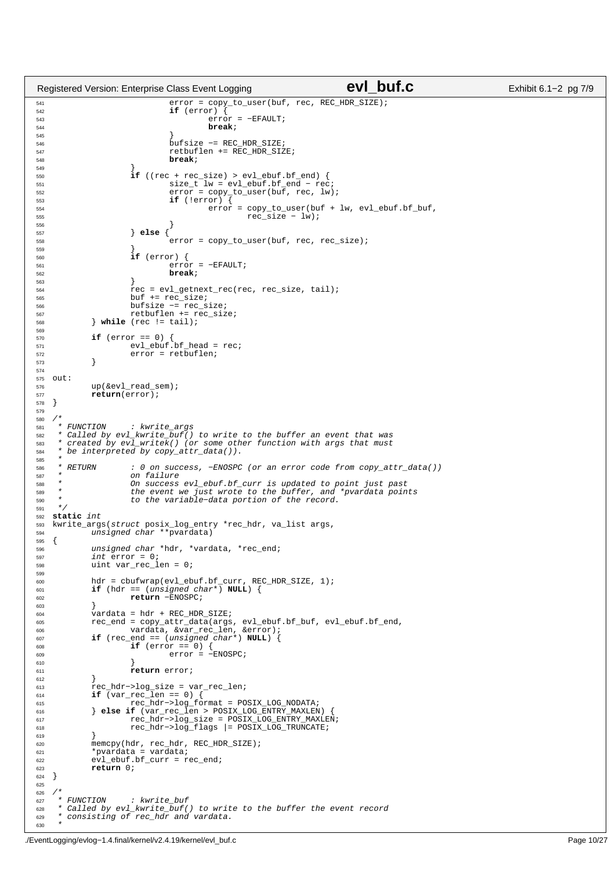```
541 error = copy_to_user(buf, rec, REC_HDR_SIZE);<br>\mathbf{f} \mathbf{f} (error) {
                               if (error)rac{1}{543} error = -EFAULT;<br>B544 error = -EFAULT;
544 break;
545 }
546 bufsize −= REC_HDR_SIZE;
547 retbuflen += REC_HDR_SIZE;<br>548 break;
548 break;
549 }
550 if ((rec + rec_size) > evl_ebuf.bf_end) {
551 size_t lw = evl_ebuf.bf_end − rec;
552 error = copy_to_user(buf, rec, lw);
553 if (!error) {
\text{error} = \text{copy\_to\_user}(\text{buf} + \text{lw}, \text{ evl\_ebuf}.\text{bf,bf\_buf},555 rec_size − lw); 
556 }
557 } else {
558 error = copy_to_user(buf, rec, rec_size);<br>558559 }
560 if (error) {
                               561 error = −EFAULT;
562 break;
563 }
564 rec = evl_getnext_rec(rec, rec_size, tail);<br>buf += rec size;
                      but + = rec_size;566 bufsize −= rec_size;
567 retbuflen += rec_size;
568 } while (rec != tail);
569
570 if (error == 0) {
571 even 11 (error = 0) {<br>57 evror = retbuflen;<br>572error = retbuflen;
573 }
574
575 out:
            up(&evl_read_sem);
577 return(error);
   \}579
\begin{array}{ccc} 580 & \nearrow^{\star} & \\ 581 & \ast & FUNCTION \end{array}581 * FUNCTION : kwrite_args
582 * Called by evl_kwrite_buf() to write to the buffer an event that was
583 * created by ev1\_writek() (or some other function with args that must * be interpreted by copy attr data()).
      be interpreted by copy\_attr\_data()).
585 *
586 * RETURN : 0 on success, −ENOSPC (or an error code from copy_attr_data())
587 * on failure<br>588 * on failure<br>588 * On success
588 * On success evl_ebuf.bf_curr is updated to point just past
589 * the event we just wrote to the buffer, and *pvardata points
590 * to the variable−data portion of the record.
591 * /
592 static int
   593 kwrite_args(struct posix_log_entry *rec_hdr, va_list args,
594 unsigned char **pvardata)
595 {
596 unsigned char *hdr, *vardata, *rec_end;<br>597 int error = 0;
             int error = 0;598 uint var_rec_len = 0;
599
600 hdr = cbufwrap(evl_ebuf.bf_curr, REC_HDR_SIZE, 1);
601 if (hdr == (unsigned char*) NULL) {
602 return −ENOSPC;
603<br>604
             \text{vardata} = \text{hdr} + \text{REC\_HDR\_SIZE};605 rec_end = copy_attr_data(args, evl_ebuf.bf_buf, evl_ebuf.bf_end,
606 vardata, &var_rec_len, &error);
607 if (rec_end == (unsigned char*) NULL) {<br>608 if (error == 0) {
\mathbf{if} (error == 0) {<br>
\mathbf{if} (error = -
\text{error} = -\text{ENOSPC};610 \Big\}611 return error;
612<br>613
613 rec_hdr−>log_size = var_rec_len;
614 if (var_rec_len == 0) {
615 rec_hdr−>log_format = POSIX_LOG_NODATA;
616 } else if (var_rec_len > POSIX_LOG_ENTRY_MAXLEN) {
617 rec_hdr−>log_size = POSIX_LOG_ENTRY_MAXLEN;<br>618 rec hdr−>log_size = POSIX_LOG_ENTRY_MAXLEN;<br>618 rec hdr−>log_flags |= POSIX_LOG_TRUNCATE;
618 rec_hdr->log_flags |= POSIX_LOG_TRUNCATE;
619 }
620 memcpy(hdr, rec_hdr, REC_HDR_SIZE);
621 *pvardata = vardata;
622 evl_ebuf.bf_curr = rec_end;<br>623 return 0;
\overline{623} return 0;
   \left\{ \right\}625
626 \!\begin{array}{ccc} \n/ * \n\end{array} FUNCTION
627 * FUNCTION : kwrite_buf<br>628 * Called by evl_kwrite_buf(
628 * Called by evl_kwrite_buf() to write to the buffer the event record<br>629 * Consisting of rec hdr and vardata.
       consisting of rec_hdr and vardata.
630
Registered Version: Enterprise Class Event Logging evice CVI buf.c Exhibit 6.1−2 pg 7/9
```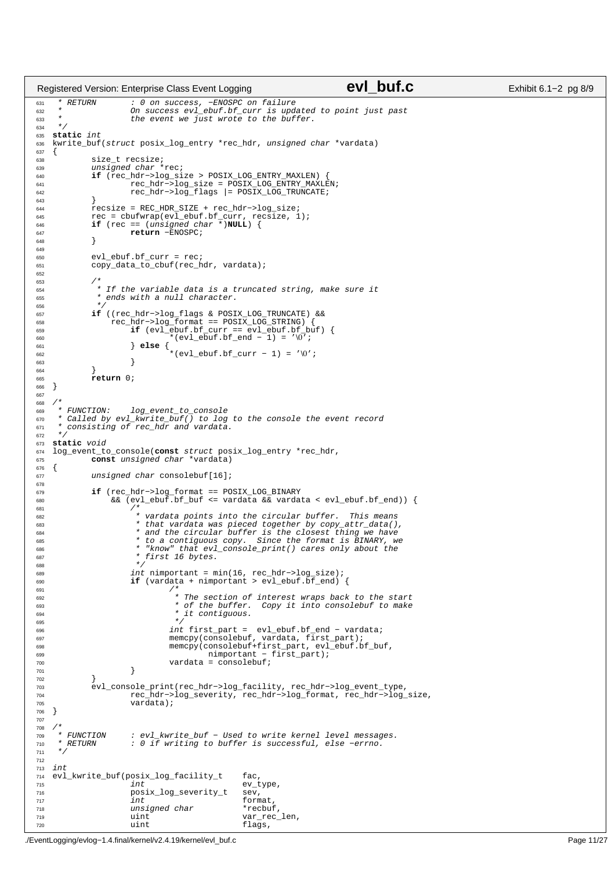```
631 * RETURN : 0 on success, −ENOSPC on failure
632 * On success evl_ebuf.bf_curr is updated to point just past
633 * the event we just wrote to the buffer.
634
635 static int
   kwrite buf(struct posix log entry *rec hdr, unsigned char *vardata)
637 \begin{matrix} 637 \end{matrix}638 size_t recsize;<br>639 000 unsigned char
639 unsigned char *rec;
640 if (rec_hdr−>log_size > POSIX_LOG_ENTRY_MAXLEN) {
641 rec_hdr−>log_size = POSIX_LOG_ENTRY_MAXLEN;
642 rec_hdr−>log_flags |= POSIX_LOG_TRUNCATE;
643<br>644
644 recsize = REC_HDR_SIZE + rec_hdr−>log_size;
645 rec = cbufwrap(evl_ebuf.bf_curr, recsize, 1);
646 if (rec == (unsigned char *)NULL) {
647 return −ENOSPC;
648 }
649
650 evl_ebuf.bf_curr = rec;<br>651 copy data to chuf(rech
            copy_data_to_cbuf(rec_hdr, vardata);
652
653 /*
* If the variable data is a truncated string, make sure it<br>
* ends with a null character.
             * ends with a null character.
656 *657 if ((rec_hdr−>log_flags & POSIX_LOG_TRUNCATE) &&
658 rec_hdr−>log_format == POSIX_LOG_STRING) {<br>659 if (evl_ebuf.bf_curr == evl_ebuf.bf_buf) {
659 if (evl_ebuf.bf_curr == evl_ebuf.bf_buf) {
660 *(evl_ebuf.bf_end − 1) = '\0';
661 } else {
662 *(evl_ebuf.bf_curr − 1) = '\0';
663 }
664
665 return 0;
   \}667
668 /*<br>669 * FUNCTION:
669 * FUNCTION: log_event_to_console
       called by evl_kwrite_buf() to log to the console the event record
671 * consisting of rec_hdr and vardata.
672
673 static void
   674 log_event_to_console(const struct posix_log_entry *rec_hdr,
675 const unsigned char *vardata)
676 {
677 unsigned char consolebuf[16];
678<br>679
679 if (rec_hdr−>log_format == POSIX_LOG_BINARY
                 68\sqrt{\text{e}}evl_ebuf.bf_buf <= vardata 68\sqrt{\text{e}} vardata < evl_ebuf.bf_end)) {
681 /*682 * vardata points into the circular buffer. This means
                       * that vardata was pieced together by copy_attr_data(),
684 * and the circular buffer is the closest thing we have
685 * to a contiguous copy. Since the format is BINARY, we
* "know" that evl_console_print() cares only about the<br>687 * first 16 bytes.
                       * first 16 bytes.
688 * /689 int nimportant = min(16, rec_hdr−>log_size);
                     if (vardata + nimportant > evl_ebuf.bf_end) {
691 *692 * The section of interest wraps back to the start
693 * of the buffer. Copy it into consolebuf to make
693<br>694 * it contiguous.
695 * /
696 int first_part = evl_ebuf.bf_end − vardata;
697 memcpy(consolebuf, vardata, first_part);
698 memcpy(consolebuf+first_part, evl_ebuf.bf_buf,
699 nimportant − first_part);
700 vardata = consolebuf;
701 }
702 }
703 evl_console_print(rec_hdr−>log_facility, rec_hdr−>log_event_type,
704 rec_hdr−>log_severity, rec_hdr−>log_format, rec_hdr−>log_size,
705 vardata);
706 }
707
708 /*<br>709 * FIINCTION
       FUNCTION : evl_kwrite_buf - Used to write kernel level messages.<br>PETURN · 0 if writing to buffer is successful else -errno
710 * RETURN : 0 if writing to buffer is successful, else −errno.
711712
713 int<br>714 evl
714 evl_kwrite_buf(posix_log_facility_t fac,<br>715 ev t
                                               ev_type,
716 posix_log_severity_t sev,<br>717 int format
717 int tormat,
718 unsigned char *recbuf,<br>
719 uint var rec
                                               var_rec_len,
720 uint flags,
Registered Version: Enterprise Class Event Logging evice Case Contract Class Exhibit 6.1−2 pg 8/9
```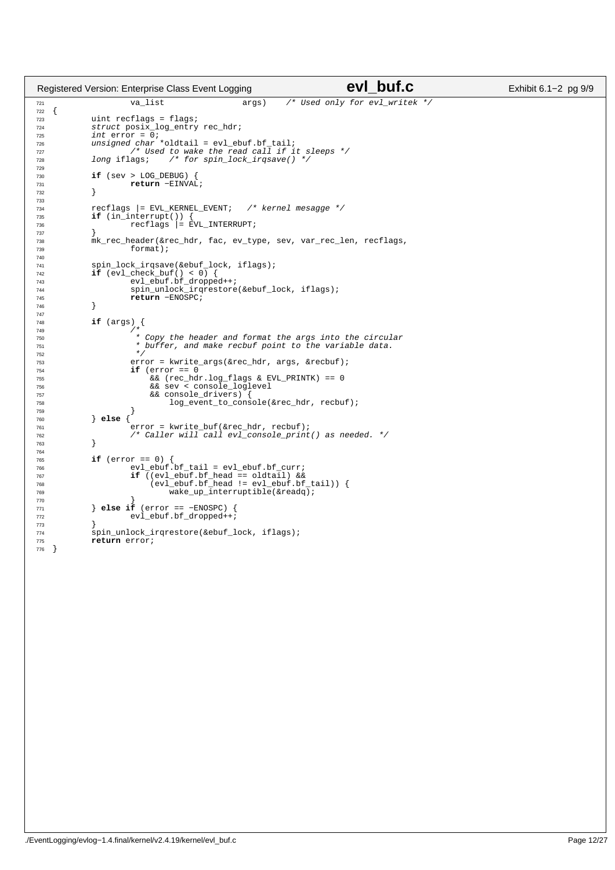```
721 va_list args) /* Used only for evl_writek */
\frac{1}{722}723 uint recflags = flags;
724 struct posix_log_entry rec_hdr;<br>725 int error = 0;
725 int error = 0;
726 unsigned char *oldtail = evl_ebuf.bf_tail;
727 /* Used to wake the read call if it sleeps */
728 long iflags; /* for spin_lock_irqsave() */
729
730 if (sev > LOG_DEBUG)<br>731 return -EINVA
                    731 return −EINVAL;
732 }
733
734 recflags |= EVL_KERNEL_EVENT; /* kernel mesagge */ 
            if (in_interrupt())
736 recflags |= EVL_INTERRUPT;
737 }
738 mk_rec_header(&rec_hdr, fac, ev_type, sev, var_rec_len, recflags,<br>
format);
                     format);
740
741 spin_lock_irqsave(&ebuf_lock, iflags);
742 if (evl_check_buf() < 0) {
743 evl_ebuf.bf_dropped++;
744 spin_unlock_irqrestore(&ebuf_lock, iflags);
745 return −ENOSPC;
746 }
747
748 if (args) {
749 /*
750 * Copy the header and format the args into the circular
751 \star buffer, and make recbuf point to the variable data.<br>752 \star/
752 * /753 error = kwrite_args(\&crec_hdr, args, \&crecbuf);<br>T_{54} if (error == 0
754 if (error == 0)<br>755 \&6 (rec hd)
755 && (rec_hdr.log_flags & EVL_PRINTK) == 0
756 && sev < console_loglevel
757<br>757 \&c \text{ consecutive\_10} \left\{\text{between}\right\}<br>758 \text{log\_event\_to\_cons}758 log_event_to_console(&rec_hdr, recbuf);<br>759 }
759 }
760 } else {
761 error = kwrite_buf(&rec_hdr, recbuf);
762 /* Caller will call evl_console_print() as needed. */
763 }
764
765 if (error == 0) {
766 evl_ebuf.bf_tail = evl_ebuf.bf_curr;
767 if ((evl_ebuf.bf_head == oldtail) &&
768 (evl_ebuf.bf_head != evl_ebuf.bf_tail)) {
\frac{1}{\text{wake\_up\_interruptible}}(&readq);
770 }
771 } else if (error == −ENOSPC) { 
772 evl ebuf.bf dropped++;
773 }
774 spin_unlock_irqrestore(&ebuf_lock, iflags);<br>775 return error;
            return error;
776 }
Registered Version: Enterprise Class Event Logging evice CVI buf.c Exhibit 6.1−2 pg 9/9
```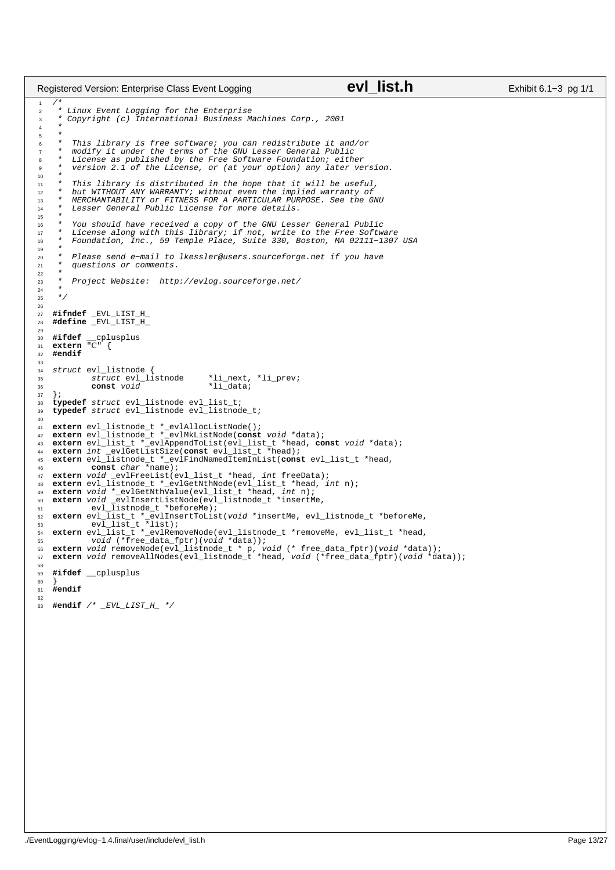```
/*
2 * Linux Event Logging for the Enterprise
3 * Copyright (c) International Business Machines Corp., 2001
\overline{4}\frac{5}{6}This library is free software; you can redistribute it and/or
 7 * modify it under the terms of the GNU Lesser General Public
8 * License as published by the Free Software Foundation; either
            version 2.1 of the License, or (at your option) any later version.
10<br>1111 * This library is distributed in the hope that it will be useful,
12 * but WITHOUT ANY WARRANTY; without even the implied warranty of
13 * MERCHANTABILITY or FITNESS FOR A PARTICULAR PURPOSE. See the GNU
14 * Lesser General Public License for more details.
15
 16 * You should have received a copy of the GNU Lesser General Public
17 * License along with this library; if not, write to the Free Software
18 * Foundation, Inc., 59 Temple Place, Suite 330, Boston, MA 02111−1307 USA
19<br>2020 * Please send e−mail to lkessler@users.sourceforge.net if you have
21 * questions or comments.
22<br>23
       23 * Project Website: http://evlog.sourceforge.net/
24<br>25* /
26
 27 #ifndef _EVL_LIST_H_
28 #define _EVL_LIST_H_
29
 30 #ifdef __cplusplus
31 extern "C" {
32 #endif
33<br>34
34 struct evl_listnode {
35 struct evl_listnode *li_next, *li_prev;<br>36 const void *li_data;
                                                              *i<sup>-1</sup>data;
\begin{array}{cc} 37 & \frac{1}{2}i \\ 38 & \text{ty} \end{array}38 typedef struct evl_listnode evl_list_t;<br>39 typedef struct evl_listnode evl_listnod
     39 typedef struct evl_listnode evl_listnode_t;
40
 41 extern evl_listnode_t *_evlAllocListNode();
42 extern evl_listnode_t *_evlMkListNode(const void *data);
 43 extern evl_list_t *_evlAppendToList(evl_list_t *head, const void *data);<br>44 extern int _evlGetListSize(const evl_list_t *head);<br>45 extern evl_listnode_t *_evlFindNamedItemInList(const evl_list_t *head,<br>46 const char *
 47 extern void _evlFreeList(evl_list_t *head, int freeData);
48 extern evl_listnode_t *_evlGetNthNode(evl_list_t *head, int n);
49 extern void *_evlGetNthValue(evl_list_t *head, int n);
 50 extern void _evlInsertListNode(evl_listnode_t *insertMe,
51 evl_listnode_t *beforeMe);
 % <br> extern evl_list_t *_evlInsertToList(void *insertMe, evl_listnode_t *beforeMe,<br>
evl_list_t *_list);<br>
extern evl_list_t *_evlRemoveNode(evl_listnode_t *removeMe, evl_list_t *head,<br>
statern void (*free_data_fptr)(void *da
58
59 #ifdef __cplusplus
60 }
61 #endif
62
63 #endif /* _EVL_LIST_H_ */
Registered Version: Enterprise Class Event Logging evidence Countries Class Exhibit 6.1–3 pg 1/1
```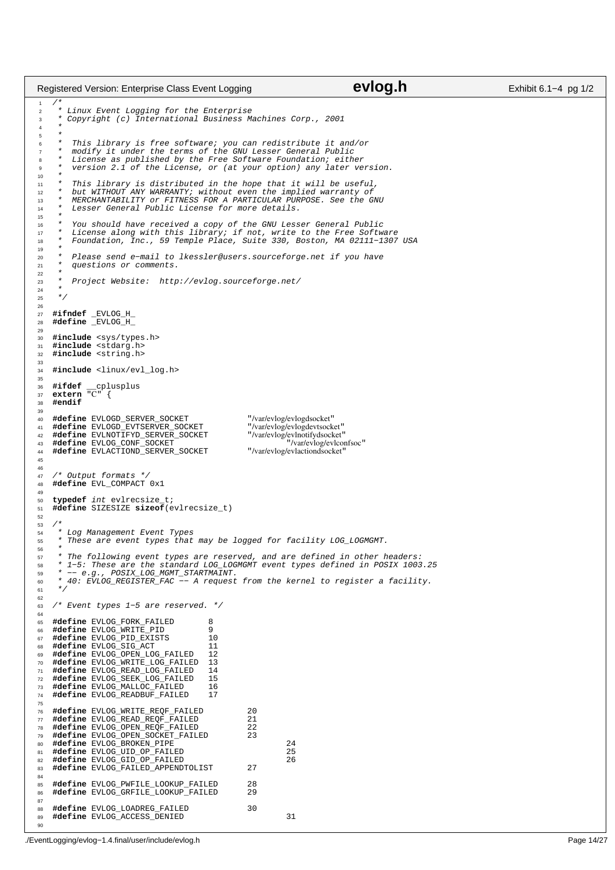```
/*
2 * Linux Event Logging for the Enterprise
<sup>2</sup><br>3 * Copyright (c) International Business Machines Corp., 2001<br>4 *
 4 *
\frac{5}{6}This library is free software; you can redistribute it and/or
 7 * modify it under the terms of the GNU Lesser General Public
8 * License as published by the Free Software Foundation; either
          version 2.1 of the License, or (at your option) any later version.
10<br>1111 * This library is distributed in the hope that it will be useful,
12 * but WITHOUT ANY WARRANTY; without even the implied warranty of
13 * MERCHANTABILITY or FITNESS FOR A PARTICULAR PURPOSE. See the GNU
14 * Lesser General Public License for more details.
15
16 * You should have received a copy of the GNU Lesser General Public
17 * License along with this library; if not, write to the Free Software
18 * Foundation, Inc., 59 Temple Place, Suite 330, Boston, MA 02111−1307 USA
19 2020 * Please send e−mail to lkessler@users.sourceforge.net if you have
21 * questions or comments.
rac{22}{23}Project Website: http://evlog.sourceforge.net/
24<br>25* /
26
27 #ifndef _EVLOG_H_
28 #define _EVLOG_H_
29
30 #include <sys/types.h>
31 #include <stdarg.h>
32 #include <string.h>
33
34 #include <linux/evl_log.h>
35
36 #ifdef __cplusplus
37 extern "C" {
38 #endif
39
\begin{tabular}{l l l l} \hline 40 & #define & \texttt{EVLOGD\_SERVER\_SOCKET} & \texttt{\text{\textendash}}/41 & #define & \texttt{EVLOGD\_EVTSERVER\_SOCKET} & \texttt{\textendash}/var/evlog/evlogdevtocket" \\ \hline 42 & #define & \texttt{EVLNOTIFYD\_SERVER\_SOCKET} & \texttt{\textendash}/var/evlog/evlog/evloglocket" \\ \hline \end{tabular}41 #define EVLOGD_EVTSERVER_SOCKET<br>42 #define EVLNOTIFYD SERVER SOCKET
     42 #define EVLNOTIFYD_SERVER_SOCKET "/var/evlog/evlnotifydsocket"
43 #define EVLOG_CONF_SOCKET "/var/evlog/evlconfsoc"
     \texttt{\#define} EVLACTIOND_SERVER_SOCKET
45
\frac{46}{47}47 /* Output formats */<br>48 \# \text{define} EVL COMPACT
     48 #define EVL_COMPACT 0x1
49
50 typedef int evlrecsize_t;
51 #define SIZESIZE sizeof(evlrecsize_t)
52
53 /*
<sup>54</sup> * Log Management Event Types<br>55 * These are event types that
      55 * These are event types that may be logged for facility LOG_LOGMGMT.
56<br>57
57 * The following event types are reserved, and are defined in other headers:
58 * 1−5: These are the standard LOG_LOGMGMT event types defined in POSIX 1003.25
59 * −− e.g., POSIX_LOG_MGMT_STARTMAINT.
      60 * 40: EVLOG_REGISTER_FAC −− A request from the kernel to register a facility.
6162
63 /* Event types 1−5 are reserved. */
64
65 #define EVLOG_FORK_FAILED 8
66 #define EVLOG_WRITE_PID 9
67 #define EVLOG_PID_EXISTS 10<br>68 #define EVLOG SIG ACT 11
     #define EVLOG_SIG_ACT 11<br>Adefine EVLOG_OPEN_LOG_FAILED 12
69 #define EVLOG_OPEN_LOG_FAILED 12
70 #define EVLOG_WRITE_LOG_FAILED 13
71 #define EVLOG_READ_LOG_FAILED 14
72 #define EVLOG_SEEK_LOG_FAILED 15
73 #define EVLOG_MALLOC_FAILED 16<br>74 #define EVLOG READBUF FAILED 17
     74 #define EVLOG_READBUF_FAILED 17
75
<sup>76</sup> #define EVLOG_WRITE_REQF_FAILED 20<br>77 #define EVLOG READ REOF FAILED 21
77 #define EVLOG_READ_REQF_FAILED 21<br>78 #define EVLOG_OPEN_REQF_FAILED 22
78 #define EVLOG_OPEN_REQF_FAILED 22<br>79 #define EVLOG_OPEN_SOCKET_FAILED 23
     79 #define EVLOG_OPEN_SOCKET_FAILED 23
80 #define EVLOG_BROKEN_PIPE 24
81 #define EVLOG_UID_OP_FAILED 25
82 #define EVLOG_GID_OP_FAILED<br>83 #define EVLOG FAILED APPENDTOLIST 27
     83 #define EVLOG_FAILED_APPENDTOLIST 27
84
85 #define EVLOG_PWFILE_LOOKUP_FAILED 28
86 #define EVLOG_GRFILE_LOOKUP_FAILED 29
87
88 #define EVLOG_LOADREG_FAILED 30<br>89 #define EVLOG_ACCESS_DENIED
     89 #define EVLOG_ACCESS_DENIED 31
90
Registered Version: Enterprise Class Event Logging evidence CVIOG.h Exhibit 6.1−4 pg 1/2
```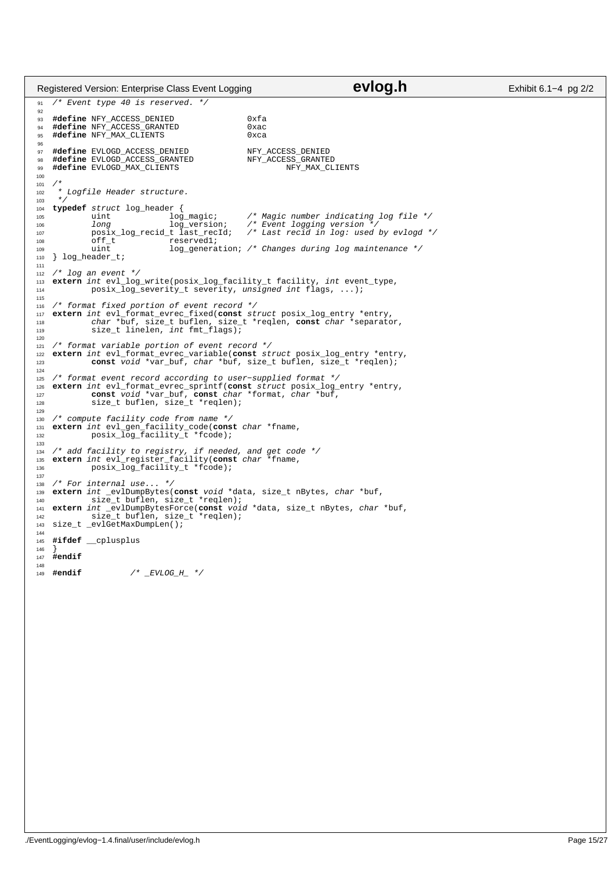/\* Event type 40 is reserved. \*/ 93 **#define** NFY\_ACCESS\_DENIED 0xfa<br>94 **#define** NFY\_ACCESS\_GRANTED 0xac **#define** NFY\_ACCESS\_GRANTED 0xac **#define** NFY\_MAX\_CLIENTS <sup>97</sup> **#define** EVLOGD\_ACCESS\_DENIED NFY\_ACCESS\_DENIED<br>98 **#define** EVLOGD\_ACCESS\_GRANTED NFY\_ACCESS\_GRANTED 98 **#define** EVLOGD\_ACCESS\_GRANTED NFY\_ACCESS\_GRANTED<br>99 **#define** EVLOGD\_MAX\_CLIENTS NFY\_MAX\_CLIENTS #define EVLOGD\_MAX\_CLIENTS  $102 \times Logfile$  Header structure. \*/<br>104 **typ typedef** struct log\_header { uint log\_magic; /\* Magic number indicating log file \*/ 106 long log\_version;<br>
107 posix\_log\_recid\_t\_last\_recId; posix\_log\_recid\_t last\_recId; /\* Last recid in log: used by evlogd \*/ 108 off\_t reserved1;<br>109 uint log genera  $log$  generation; /\* Changes during log maintenance \*/ } log\_header\_t; /\* log an event \*/ <sup>113</sup> **extern** int evl\_log\_write(posix\_log\_facility\_t facility, int event\_type, posix\_log\_severity\_t severity, unsigned int flags, ...); /\* format fixed portion of event record \*/ <sup>117</sup> **extern** int evl\_format\_evrec\_fixed(**const** struct posix\_log\_entry \*entry, <sup>118</sup> char \*buf, size\_t buflen, size\_t \*reqlen, **const** char \*separator, size\_t linelen, int fmt\_flags); /\* format variable portion of event record \*/<br>122 **extern** int evl format evrec variable(**const** st. **extern** int evl\_format\_evrec\_variable(**const** struct posix\_log\_entry \*entry, **const**  $\overline{void} * \overline{var}_b \overline{var}'$ ,  $char * \text{buf}$ ,  $size_t$  buflen,  $size_t * \text{reqlen}$ ; /\* format event record according to user−supplied format \*/ <sup>126</sup> **extern** int evl\_format\_evrec\_sprintf(**const** struct posix\_log\_entry \*entry, <sup>127</sup> **const** void \*var\_buf, **const** char \*format, char \*buf, size\_t buflen, size\_t \*reqlen); <sup>130</sup> /\* compute facility code from name \*/ <sup>131</sup> **extern** int evl\_gen\_facility\_code(**const** char \*fname, posix\_log\_facility\_t \*fcode); <sup>134</sup> /\* add facility to registry, if needed, and get code \*/ <sup>135</sup> **extern** int evl\_register\_facility(**const** char \*fname, posix\_log\_facility\_t \*fcode); 138 /\* For internal use... \*/<br>139 **extern** int evlDumpBytes( 139 **extern** int \_evlDumpBytes(**const** void \*data, size\_t nBytes, char \*buf,<br>149 size t buflen, size t \*reglen); size\_t buflen, size\_t \*reqlen); <sup>141</sup> **extern** int \_evlDumpBytesForce(**const** void \*data, size\_t nBytes, char \*buf, 142 size\_t buflen, size\_t \*reqlen);<br>143 size t evlGetMaxDumpLen(); size\_t \_evlGetMaxDumpLen(); **#ifdef** \_\_cplusplus } **#endif #endif** /\* \_EVLOG\_H\_ \*/ Registered Version: Enterprise Class Event Logging **evidence CVIOG.h** Exhibit 6.1−4 pg 2/2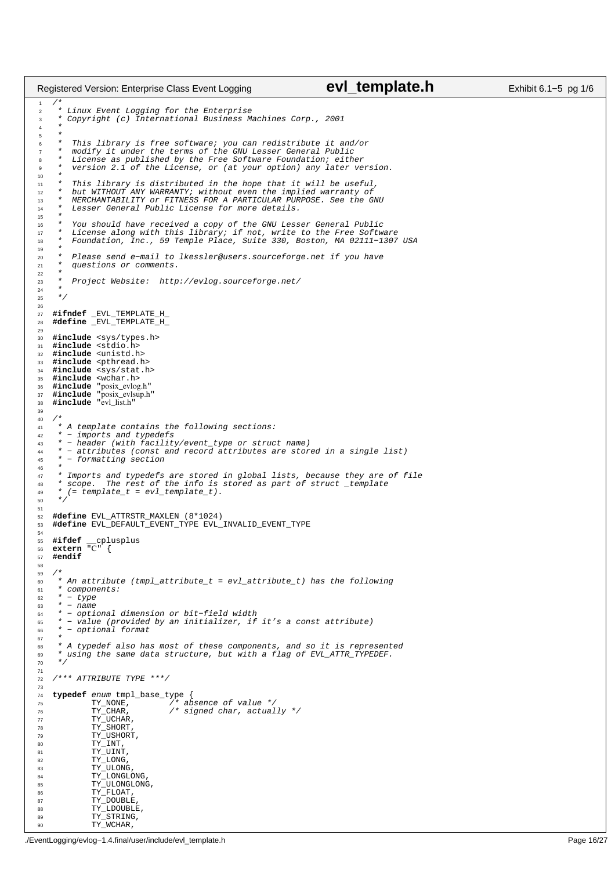```
/*
2 * Linux Event Logging for the Enterprise
<sup>2</sup><br>3 * Copyright (c) International Business Machines Corp., 2001<br>4 *
 4 *
\frac{5}{6}This library is free software; you can redistribute it and/or
 7 * modify it under the terms of the GNU Lesser General Public
8 * License as published by the Free Software Foundation; either
          version 2.1 of the License, or (at your option) any later version.
10<br>1111 * This library is distributed in the hope that it will be useful,
12 * but WITHOUT ANY WARRANTY; without even the implied warranty of
13 * MERCHANTABILITY or FITNESS FOR A PARTICULAR PURPOSE. See the GNU
14 * Lesser General Public License for more details.
15
16 * You should have received a copy of the GNU Lesser General Public
17 * License along with this library; if not, write to the Free Software
18 * Foundation, Inc., 59 Temple Place, Suite 330, Boston, MA 02111−1307 USA
19<br>2020 * Please send e−mail to lkessler@users.sourceforge.net if you have
21 * questions or comments.
22<br>23
         Project Website: http://evlog.sourceforge.net/
24<br>25* /
26
27 #ifndef _EVL_TEMPLATE_H_
28 #define _EVL_TEMPLATE_H_
29
30 #include <sys/types.h>
31 #include <stdio.h>
32 #include <unistd.h>
33 #include <pthread.h>
34 #include <sys/stat.h><br>35 #include <wchar.h>
35 #include <wchar.h>
36 #include "posix_evlog.h"
37 #include "posix_evlsup.h"
38 #include "evl_list.h"
39
40 /*
41 * A template contains the following sections:
42 * − imports and typedefs
43 * − header (with facility/event_type or struct name)
44 * − attributes (const and record attributes are stored in a single list)
      45 * − formatting section
\frac{46}{47}<sup>47</sup> * Imports and typedefs are stored in global lists, because they are of file<br><sup>48</sup> * scope. The rest of the info is stored as part of struct template
* scope. The rest of the info is stored as part of struct _template<br>* (= template t = evl template t).
49 *(= \text{template}_t = \text{evl}_\text{template_t}).\star51
52 #define EVL_ATTRSTR_MAXLEN (8*1024)
    53 #define EVL_DEFAULT_EVENT_TYPE EVL_INVALID_EVENT_TYPE
54
55 #ifdef __cplusplus
56 extern "C" {
57 #endif
58
59 /*
\frac{60}{60} * An attribute (tmpl_attribute_t = evl_attribute_t) has the following
61 * components:
62 \times + - \text{type}<br>63 \times - \text{name}63 * - name<br>64 * - opti64 * − optional dimension or bit−field width
65 * − value (provided by an initializer, if it's a const attribute)
66 * − optional format
67 6868 * A typedef also has most of these components, and so it is represented
        using the same data structure, but with a flag of EVL_ATTR_TYPEDEF.
7071
72 /*** ATTRIBUTE TYPE ***/
73
74 typedef enum tmpl_base_type {<br>75 TY_NONE, 76 TY_CHAR, 76 78 T^275 TY_NONE, /* absence of value */
76 TY_CHAR, /* signed char, actually */
77 TY_UCHAR,<br>78 TY_SHORT,
78 TY_SHORT<br>79 TY_USHORT
                79 TY_USHORT,
80 TY_INT,<br>81 TY_UINT,
82 TY_LONG,<br>83 TY_ULONG
83 TY_ULONG<br>84 TY_LONGLO
84 TY_LONGLONG<br>
85 TY III.ONGLON
85 TY_ULONGLONG,
86 TY_FLOAT,
87<br>
\begin{array}{cc}\n & & \text{TY\_DOUBLE} \\
\text{88} & & \text{TY\_DOUBL} \\
\end{array}88 TY_LDOUBLE,<br>89 TY_STRING.
                TY_STRING,
Registered Version: Enterprise Class Event Logging evl_template.h Exhibit 6.1–5 pg 1/6
```
90 TY WCHAR,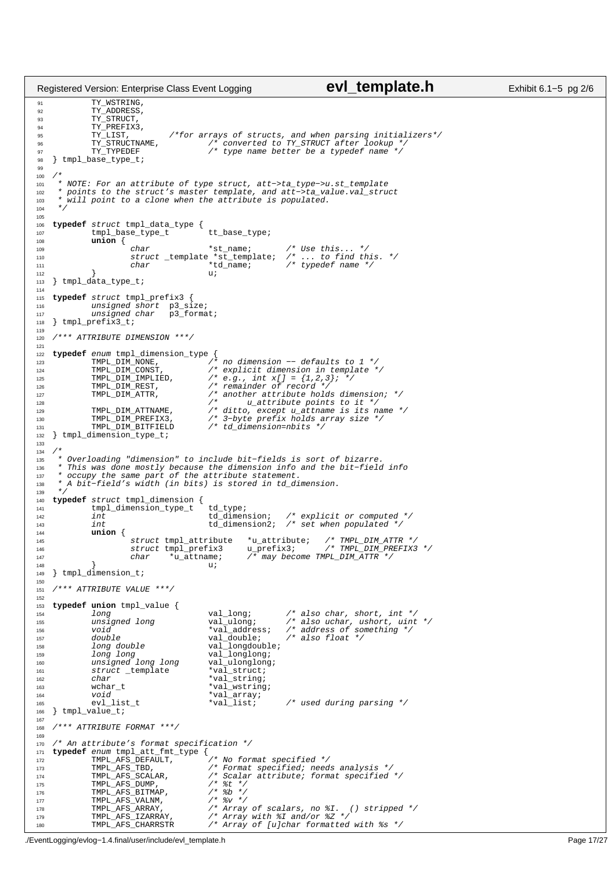```
91 TY_WSTRING,
<sup>92</sup> TY_ADDRESS,
93 TY_STRUCT,<br>
94 TY_PREFIX3
                   TY_PREFIX3,<br>TY_LIST,<br>TY_STRUCTNAME,
 95 TY_LIST, /*for arrays of structs, and when parsing initializers*/
96 TY_STRUCTNAME, /* converted to TY_STRUCT after lookup */
96 TY_STRUCTNAME, \gamma converted to TY_STRUCT after lookup *<br>97 TY_TYPEDEF \gamma type name better be a typedef name */
98 } tmpl_base_type_t;
99
100 / *<br>101 *101 * NOTE: For an attribute of type struct, att−>ta_type−>u.st_template
102 * points to the struct's master template, and att−>ta_value.val_struct
103 * will point to a clone when the attribute is populated.
104 + /105
106 typedef struct tmpl_data_type {
107 tmpl_base_type_t tt_base_type;
108 union {
109 char *st_name; /* Use this... */<br>
110 struct _template *st_template; /* ... to find this. */<br>
20 char *td_name; /* typedef name */
112 }<br>113 } tmpl_data_type_t;        u;
114
115 typedef struct tmpl_prefix3 {
116 unsigned short p3_size;
117 unsigned char p3_format;
118 } tmpl_prefix3_t;
119
120 /*** ATTRIBUTE DIMENSION ***/
121
122 typedef enum tmpl_dimension_type {
123 TMPL_DIM_NONE, /* no dimension −− defaults to 1 */
124 THE LATTLINUME \begin{array}{ccc} \cdots & \cdots & \cdots & \cdots & \cdots \end{array}<br>124 TMPL_DIM_CONST, \qquad \qquad /* \text{ explicit dimension in template } \neq / \text{125}<br>125 TMPL_DIM_IMPLIED, \qquad \qquad /* \text{ e.g., int x[] = } \{1,2,3\} \text{; } * \neq \text{125} \}125 TMPL_DIM_IMPLIED, /* e.g., int x[] = {1,2,3}; */
126 TMPL_DIM_REST, /* remainder of record */
127 TMPL_DIM_ATTR, \begin{array}{ccc} & \nearrow & \star \text{ another attribute holds dimension;} & \star \neq & \\ & \searrow & \searrow & \text{u\_attribute points to it } \star \neq & \\ \end{array}129 TMPL_DIM_ATTNAME, /* ditto, except u_attname is its name */
130 TMPL_DIM_PREFIX3, /* 3−byte prefix holds array size */
131 TMPL_DIM_BITFIELD /* td_dimension=nbits */
132 } tmpl_dimension_type_t;
133
134 /*135 * Overloading "dimension" to include bit−fields is sort of bizarre.
136 * This was done mostly because the dimension info and the bit−field info
137 * occupy the same part of the attribute statement.
138 * A bit−field's width (in bits) is stored in td_dimension.
139<br>140
140 typedef struct tmpl_dimension {<br>141 tmpl_dimension_type_t td_type;
142 int td_dimension; /* explicit or computed */
143 int td_dimension2; /* set when populated */
144 union {
145 struct tmpl_attribute *u_attribute; /* TMPL_DIM_ATTR */
146 struct tmpl_prefix3 u_prefix3; /* TMPL_DIM_PREFIX3 */
146 char \frac{m}{2} char *u_attname; /* may become TMPL_DIM_ATTR */<br>147 char *u_attname; /* may become TMPL_DIM_ATTR */<br>148 }
148 } u;
149 } tmpl_dimension_t;
150
151 /*** ATTRIBUTE VALUE ***/
152
153 typedef union tmpl_value {
                   11 long values and values and values of the values of the values of the values of something \frac{1}{100} values \frac{1}{100} values \frac{1}{100} the values of something \frac{1}{100} the values of something \frac{1}{100} the valu
155 unsigned long val_ulong; /* also uchar, ushort, uint */
156 void *val_address; /* address of something */
157 double val_double;<br>158 long double;<br>158 long double;<br>158 long double;
158 long double val_longdouble;<br>159 long long<br>159 val longlong;
159 long long val_longlong;
160 unsigned long long val_ulonglong;
161 struct _template<br>
162 char
                   \begin{array}{lll} \mathit{long\;double} & & \mathit{val\_language} \mathit{blue} \\ \mathit{long\;long} & & \mathit{val\_long} \mathit{long} \\ \mathit{unsigned\;long} & & \mathit{val\_sum} \\ \mathit{struct\_template} & & * \mathit{val\_struct} \\ \mathit{char} & & * \mathit{val\_string} \\ \mathit{wchar\_t} & & * \mathit{val\_wstring} \end{array}163 wchar_t *val_wstring;<br>164 void *val_arrav;
                   void *val_array;<br>evl_list_t *val_list;
165 evl_list_t *val_list; /* used during parsing */
166 } tmpl_value_t;
167
168 /*** ATTRIBUTE FORMAT ***/
169
170 /* An attribute's format specification */<br>171 typedef enum tmpl att fmt type {
     typedef enum tmpl_att_fmt_type {<br>TMPL_AFS_DEFAULT,
172 THE AFS DEFAULT, \overline{y} are the specified */<br>173 TMPL_AFS_TBD, \overline{y} /* Format specified; need
173 TMPL_AFS_TBD, /* Format specified; needs analysis */
174 TMPL_AFS_ISD,<br>174 TMPL_AFS_SCALAR, \frac{1}{3} /* Scalar attribute; format specified */<br>176 TMPL_AFS_DUMP, \frac{1}{3} /* \frac{2}{3} */<br>176 TMPL_AFS_BITMAP, \frac{1}{3} /* \frac{2}{3} */
175 TMPL_AFS_DUMP, /* %t */
176 TMPL_AFS_BITMAP, /* %b */
177 TMPL_AFS_VALNM, / /* \frac{8\nu}{\nu} //<br>178 TMPL_AFS_VALNM, /* \frac{8\nu}{\nu} /* \frac{4\nu}{\nu}178 TMPL_AFS_ARRAY, /* Array of scalars, no %I. () stripped */
179 TMPL_AFS_IZARRAY, /* Array with %I and/or %Z */
180 TMPL_AFS_CHARRSTR /* Array of [u]char formatted with %s */
Registered Version: Enterprise Class Event Logging evl_template.h Exhibit 6.1–5 pg 2/6
```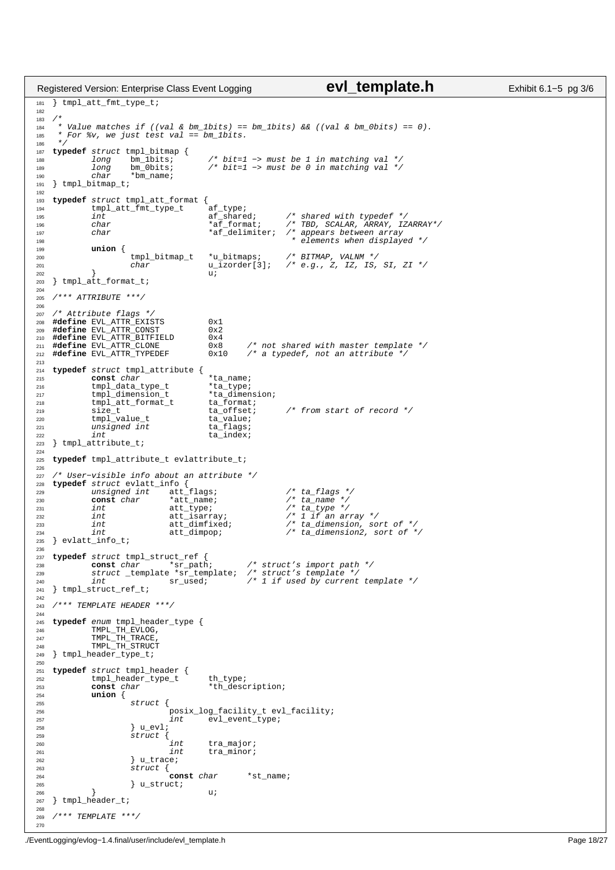```
181 } tmpl_att_fmt_type_t;
182
183<br>184
      * Value matches if ((val & bm_1bits) == bm_1bits) & & (val & bm_0bits) == 0).185 * For %v, we just test val == bm_1bits.
186
187 typedef struct tmpl_bitmap {
188 1ong bm_1bits; /* bit=1 -> must be 1 in matching val */<br>189 1ong bm_0bits; /* bit=1 -> must be 0 in matching val */
189 long bm_0bits; /* bit=1 -> must be 0 in matching val */200 char *bm_name;<br>191 } tmpl bitmap t;
    } tmpl_bitmap_t;
192
<sup>193</sup> typedef struct tmpl_att_format {<br><sup>194</sup> tmpl_att_fmt_type_t af_type;
194 tmpl_att_fmt_type_t af_type;<br>
195 int af_shared;<br>
196 char *af_format;
195 int af_shared; /* shared with typedef */
196 char *af_format; /* TBD, SCALAR, ARRAY, IZARRAY*/
197 char the state of the state of the state of the state of the state of the state of the state of the state of the state of the state of the state of the state of the state of the state of the state of the state of the s
198 * elements when displayed */
199 union {
200 tmpl_bitmap_t *u_bitmaps; /* BITMAP, VALNM */
201 char u_izorder[3]; /* e.g., Z, IZ, IS, SI, ZI */
202 \qquad } u;
203 } tmpl_att_format_t;
204
205 /*** ATTRIBUTE ***/
206
207 /* Attribute flags *,
208 #define EVL_ATTR_EXISTS 0x1<br>209 #define EVL ATTR_CONST 0x2
209 #define EVL_ATTR_CONST 0x2<br>210 #define EVL ATTR BITFIELD 0x4
    #define EVL_ATTR_BITFIELD<br>#define EVL ATTR CLONE
211 #define EVL_ATTR_CLONE 0x8 /* not shared with master template */<br>212 #define EVL_ATTR_CLONE 0x10 /* a typedef, not an attribute */
                                                            <sup>/*</sup> a typedef, not an attribute */
213
214 typedef struct tmpl_attribute {
215 const char *ta_name;
216 tmpl_data_type_t *ta_type;
217 tmpl_dimension_t *ta_dimension;
218 tmpl_att_format_t ta_format;
218 \text{tmpl}\_ \text{att}\_ \text{format}\_ \text{ta}\_ \text{format};<br>
219 size_t ta_offset; /* from start of record */<br>
220 tmpl_value_t ta_value;
               tmpl_value_t ta_value;<br>unsigned int ta_flags;
<sup>221</sup> unsigned int<br><sup>222</sup> int
222 int \overline{\phantom{a}} ta_index;
223 } tmpl_attribute_t;
224
225 typedef tmpl_attribute_t evlattribute_t;
226
---<br>227 /* User-visible info about an attribute */<br>228 typedef struct evlatt info {
228 typedef struct evlatt_info {<br>229 unsigned int att_flags;       /* ta_flags */
230 const char that the temperature of the temperature of the temperature of the temperature of the temperature of the temperature of temperature \frac{1}{2} ta the temperature of temperature of temperature of temperature 
232 111 att_isarray; /* 1 if an array */<br>233 111 att_isarray; /* 1 if an array */
                233 int att_dimfixed; \overline{\phantom{a}} /* ta_dimension, sort of */<br>int att_dimpop; \phantom{a} /* ta_dimension2, sort of *
234 int \text{att\_dimpop}; \overline{A} ta_dimension2, sort of \overline{A} /* ta_dimension2, sort of \overline{A} /*
    } \verb|evlatt_info_t|;236
237 typedef struct tmpl_struct_ref {<br>238 const char *sr_path
238 const char *sr_path; /* struct's import path */
239 struct _template *sr_template; /* struct's template */
240 and the state of the state of the state of the state of the state of the state of the state of the state of the state of the state of the state of the state of the state of the state of the state of the state of the st
241 } tmpl_struct_ref_t;
242
243 /*** TEMPLATE HEADER ***/
244245 typedef enum tmpl_header_type {
246 TMPL_TH_EVLOG,
<sup>247</sup> TMPL_TH_TRACE,<br><sup>248</sup> TMPL TH STRUCT
               TMPL_TH_STRUCT
249 } tmpl_header_type_t;
250
251 typedef struct tmpl_header {
<sup>252</sup> tmpl_header_type_t th_type;<br><sup>253</sup> const char *th_desc
253 const char *th_description;
               union {
255 struct {
256 posix_log_facility_t evl_facility;<br>257 posix_log_facility_t evl_facility;<br>257
\frac{1}{258} int \frac{1}{258} evl_event_type;
258 } u_evl;
                           \frac{1}{2}struct {
260 int tra_major;
                                                 tra_minor;
262 \frac{1}{263} \frac{1}{263} \frac{1}{263} \frac{1}{263}263 struct {<br>264264 const char *st_name;<br>265 bustruct;
                           } u_struct;
266 \qquad \qquad \} u;
267 } tmpl_header_t;
268
269 /*** TEMPLATE ***/
Registered Version: Enterprise Class Event Logging evl_template.h Exhibit 6.1–5 pg 3/6
```
270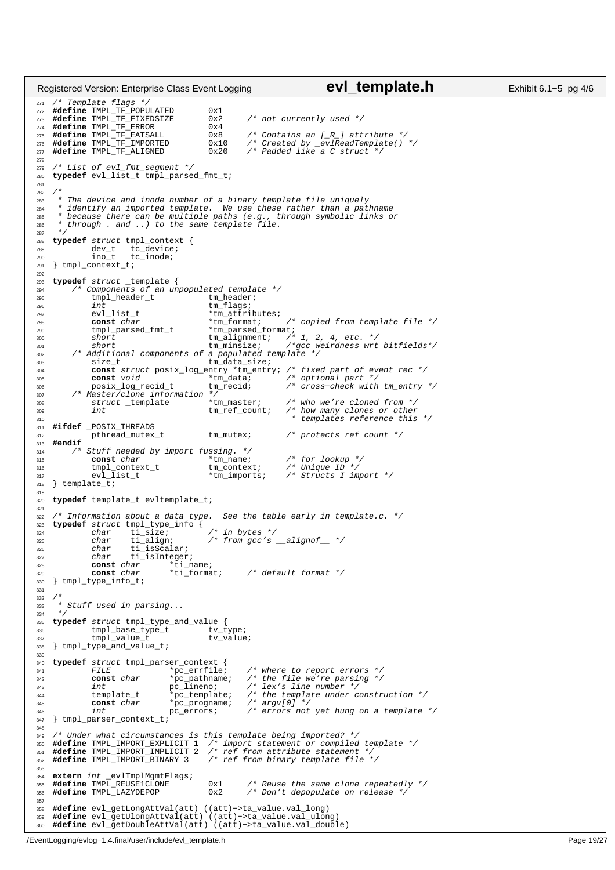```
271 /* Template flags */
272 #define TMPL_TF_POPULATED 0x1
273 #define TMPL_TF_FIXEDSIZE 0x2 /* not currently used */
274 #define TMPL_TF_ERROR 0x4<br>275 #define TMPL_TF_EATSALL 0x8<br>276 #define TMPL_TF_IMPORTED 0x1
275 #define TMPL_TF_EATSALL 0x8 /* Contains an [_R_] attribute */
276 #define TMPL_TF_IMPORTED 0x10 /* Created by _evlReadTemplate() */
277 #define TMPL_TF_ALIGNED 0x20 /* Padded like a C struct */
278
279 /* List of evl_fmt_segment */<br>280 typedef evl list t tmpl parsed
    typedef evl_list_t tmpl_parsed_fmt_t;
281
282<br>283
<sup>283</sup> * The device and inode number of a binary template file uniquely<br><sup>284 *</sup> identify an imported template. We use these rather than a pat
<sup>284</sup> * identify an imported template. We use these rather than a pathname<br>285 * herause there can be multiple paths (e.g. through symbolic links of
       * because there can be multiple paths (e.g., through symbolic links or
286 * through . and ..) to the same template file.<br>
287 */
      *288 typedef struct tmpl_context {
289 dev_t tc_device;
290 ino_t tc_inode;
291 } tmpl_context_t;
292
293 typedef struct _template {<br>294 /* Components of an un
294 /* Components of an unpopulated template */<br>295 tmpl_header_t tm_header;
                  tmpl_header_t
296 int tm_flags;
\begin{tabular}{ll} 297 & \hspace{1.5cm} \texttt{evl\_list\_t} & \hspace{1.5cm} \texttt{*tm\_atributes:} \\ \texttt{const} & \hspace{1.5cm} \texttt{char} & \hspace{1.5cm} \texttt{*tm\_format:} \end{tabular}298 const char the tormat; \frac{1}{299} tmplate file */<br>299 tmpl_parsed_fmt_t tm_parsed_format; /* 1, 2, 4, etc. */<br>300 short tm_alignment; /* 1, 2, 4, etc. */<br>201 short tm_minsize; /*gcc weirdness wrt bitfields*/
302 /* Additional components of a populated template */<br>303 size_t tm_data_size;
303 size_t tm_data_size;
304 const struct posix_log_entry *tm_entry; /* fixed part of event rec */
305 const void *tm_data; /* optional part */
306 posix_log_recid_t tm_recid; /* cross-check with tm_entry */<br>307 /* Master/clone information */<br>308 struct _template *tm_master; /* who we're cloned from */
309 int tm_ref_count; /* how many clones or other
310 * templates reference this */
311 #ifdef _POSIX_THREADS<br>312 pthread_mutex_t
312 pthread_mutex_t tm_mutex; /* protects ref count */
313 #endif
           \hspace{0.1cm} /* Stuff needed by import fussing. */<br> $\star \text{tm_name}$ ;
315 const char *tm_name; /* for lookup */
316 tmpl_context_t tm_context; /* Unique ID */
316 bmpl_context_t tm_context; /* Unique ID */<br>317 evl_list_t *tm_imports; /* Structs I import */
318 } template_t;
319
320 typedef template_t evltemplate_t;
321
322 /* Information about a data type. See the table early in template.c. */<br>323 typedef struct tmpl type info {
323 typedef struct tmpl_type_info {
324 char ti_size; /* in bytes */
324 char ti_align; /* from gcc's __alignof__ */<br>326 char ti_isScalar; /* from gcc's __alignof__ */
<sup>326</sup> char ti_isScalar;<br><sup>327</sup> char ti_isInteger
                                ti_isInteger;<br>har *ti_name;
328 const char<br>329 const char
                                             329 const char *ti_format; /* default format */
330 } tmpl_type_info_t;
331
332 /<br>333
333 \atop{333} * Stuff used in parsing...<br>334 \atop{84}\star /
335 typedef struct tmpl_type_and_value {<br>
\begin{array}{c}\n\text{336} \\
\text{438}\n\end{array} tw_type i \begin{array}{c}\n\text{439}\n\end{array}336 tmpl_base_type_t tv_type;<br>337 tmpl_value_t tv_value;
337 tmpl_value_t<br>338 } tmpl type and value
    \} tmpl_type_and_value_t;
339
<sup>340</sup> typedef struct tmpl_parser_context {<br>341 FILE *pc_errfile;<br>342 const char *pc_pathname;
341 FILE *pc_errfile; /* where to report errors *<br>342 const char *pc_pathname; /* the file we're parsing *
342 const char *pc_pathname; /* the file we're parsing */<br>343 int pc_lineno; /* lex's line number */
343 int pc_lineno; /* lex's line number */<br>344 int pc_lineno; /* lex's line number */<br>template_t *pc_template; /* the template under co
                                                                        344 the template under construction */<br>44 template under construction */
345 const char *pc_progname;<br>346 int pc_errors;
346 int int pc_errors; /* errors not yet hung on a template */
347 } tmpl_parser_context_t;
348
349 /* Under what circumstances is this template being imported? */<br>350 #define TMPL_IMPORT_EXPLICIT 1 /* import statement or compiled template */<br>351 #define TMPL_IMPORT_IMPLICIT 2 /* ref from attribute statement */
352 #define TMPL_IMPORT_BINARY 3 /* ref from binary template file */
353
354 extern int _evlTmplMgmtFlags;<br>355 #define TMPL_REUSE1CLONE<br>356 #define TMPL_LAZYDEPOP
355 #define TMPL_REUSE1CLONE 0x1 /* Reuse the same clone repeatedly */
356 #define TMPL_LAZYDEPOP 0x2 /* Don't depopulate on release */
357
358 #define evl_getLongAttVal(att) ((att)−>ta_value.val_long)
359 #define evl_getUlongAttVal(att) ((att)−>ta_value.val_ulong)
360 #define evl_getDoubleAttVal(att) ((att)−>ta_value.val_double)
Registered Version: Enterprise Class Event Logging evl_template.h Exhibit 6.1–5 pg 4/6
```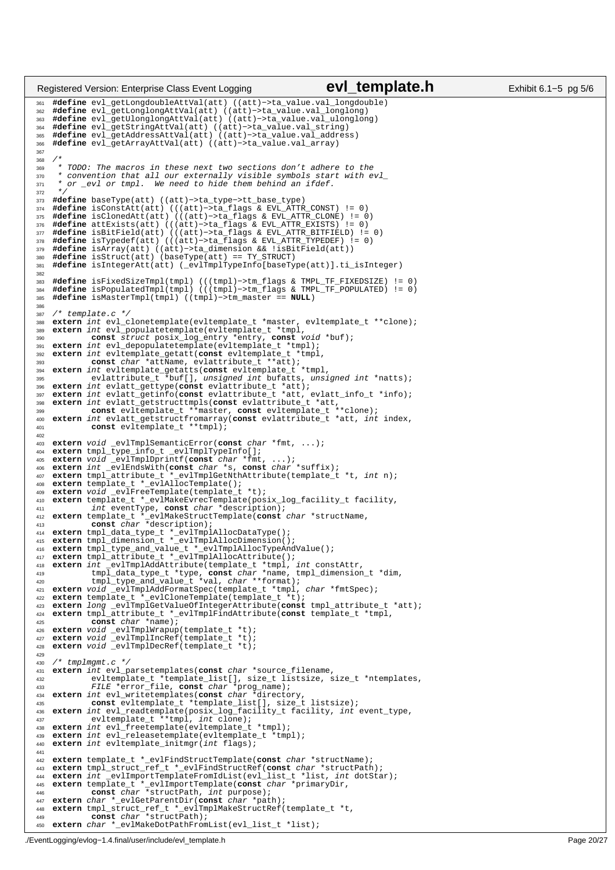```
361 #define evl_getLongdoubleAttVal(att) ((att)−>ta_value.val_longdouble)
362 #define evl_getLonglongAttVal(att) ((att)−>ta_value.val_longlong)
363 #define evl_getUlonglongAttVal(att) ((att)−>ta_value.val_ulonglong)
364 #define evl_getStringAttVal(att) ((att)−>ta_value.val_string)
365 #define evl_getAddressAttVal(att) ((att)−>ta_value.val_address)
366 #define evl_getArrayAttVal(att) ((att)−>ta_value.val_array)
367
368<br>369
369 * TODO: The macros in these next two sections don't adhere to the
370 * convention that all our externally visible symbols start with evl_
371 * or _evl or tmpl. We need to hide them behind an ifdef.
372<br>373
373 #define baseType(att) ((att)−>ta_type−>tt_base_type)
     374 #define isConstAtt(att) (((att)−>ta_flags & EVL_ATTR_CONST) != 0)
375 #define isClonedAtt(att) (((att)−>ta_flags & EVL_ATTR_CLONE) != 0)
376 #define attExists(att) (((att)−>ta_flags & EVL_ATTR_EXISTS) != 0)
377 #define isBitField(att) (((att)−>ta_flags & EVL_ATTR_BITFIELD) != 0)
378 #define isTypedef(att) (((att)−>ta_flags & EVL_ATTR_TYPEDEF) != 0)
     379 #define isArray(att) ((att)−>ta_dimension && !isBitField(att))
380 #define isStruct(att) (baseType(att) == TY_STRUCT)
     381 #define isIntegerAtt(att) (_evlTmplTypeInfo[baseType(att)].ti_isInteger)
382
383 #define isFixedSizeTmpl(tmpl) (((tmpl)−>tm_flags & TMPL_TF_FIXEDSIZE) != 0)
384 #define isPopulatedTmpl(tmpl) (((tmpl)−>tm_flags & TMPL_TF_POPULATED) != 0)
385 #define isMasterTmpl(tmpl) ((tmpl)−>tm_master == NULL)
386
387 /* template.c */
388 extern int evl_clonetemplate(evltemplate_t *master, evltemplate_t **clone);
389 extern int evl_populatetemplate(evltemplate_t *tmpl,<br>390 const struct posix log entry *entry const w
390 const struct posix_log_entry *entry, const void *buf);
391 extern int evl_depopulatetemplate(evltemplate_t *tmpl);
392 extern int evltemplate_getatt(const evltemplate_t *tmpl,
393 const char *attName, evlattribute_t **att);<br>394 extern int evltemplate getatts(const evltemplate t
     394 extern int evltemplate_getatts(const evltemplate_t *tmpl,
%% evlattribute_t *buf[], unsigned int bufatts, unsigned int *natts);<br>%% extern int evlatt_gettype(const evlattribute_t *att);<br>%% extern int evlatt_gettinfo(const evlattribute_t *att, evlatt_info_t *info);<br>%% extern in
401 const evltemplate_t **tmpl);
402
403 extern void _evlTmplSemanticError(const char *fmt, ...);<br>404 extern tmpl_type_info_t _evlTmplTypeInfo[];<br>405 extern void _evlTmplDprintf(const char *fmt, ...);<br>406 extern int _evlEndsWith(const char *s, const char *suf
408 extern template_t *_evlAllocTemplate();<br>408 extern template_t *_evlAllocTemplate();
409 extern void _evlFreeTemplate(template_t *t);
410 extern template_t *_evlMakeEvrecTemplate(posix_log_facility_t facility,<br>
int eventType, const char *description);<br>
and the extern template(const char *description);<br>
extern template(const char *structName,<br>
const
414 extern tmpl_data_type_t *_evlTmplAllocDataType();
415 extern tmpl_dimension_t *_evlTmplAllocDimension();
416 extern tmpl_type_and_value_t *_evlTmplAllocTypeAndValue();
417 extern tmpl_attribute_t *_evlTmplAllocAttribute();
418 extern int _evlTmplAddAttribute(template_t *tmpl, int constAttr,<br>tmpl_data_type_t *type, const char *name, tmpl_dimension_t *dim,<br>420 tmpl_type_and_value_t *val, char **format);<br>extern void_evlTmplAddFormatSpec(t
423 extern long _evlTmplGetValueOfIntegerAttribute(const tmpl_attribute_t *att);<br>424 extern tmpl attribute t * evlTmplFindAttribute(const template t *tmpl.
     424 extern tmpl_attribute_t *_evlTmplFindAttribute(const template_t *tmpl,
425 const char *name);
426 extern void _evlTmplWrapup(template_t *t);
427 extern void _evlTmplIncRef(template_t *t);
428 extern void _evlTmplDecRef(template_t *t);
429
430 / * tmplmgmt.c */431 extern int evl_parsetemplates(const char *source_filename,
                   evltemplate_t *template_list[], size_t listsize, size_t *ntemplates,
433 FILE *error_file, const char *prog_name);
434 extern int evl_writetemplates(const char *directory,
435 const evltemplate_t *template_list[], size_t listsize);
436 extern int evl_readtemplate(posix_log_facility_t facility, int event_type,
437 evltemplate_t **tmpl, int clone);
438 extern int evl_freetemplate(evltemplate_t *tmpl);
439 extern int evl_releasetemplate(evltemplate_t *tmpl);
440 extern int evltemplate initmgr(int flags);
441
442 extern template_t *_evlFindStructTemplate(const char *structName);
443 extern tmpl_struct_ref_t *_evlFindStructRef(const char *structPath);<br>444 extern int evlImportTemplateFromIdList(evl list t *list, int dotSta
444 extern int _evlImportTemplateFromIdList(evl_list_t *list, int dotStar);<br>445 extern template_t *_evlImportTemplate(const char *primaryDir,<br>446 extern const char *structPath, int purpose);<br>447 extern char *_evlGetP
448 extern tmpl_struct_ref_t *_evlTmplMakeStructRef(template_t *t,
449 const char *structPath);
450 extern char *_evlMakeDotPathFromList(evl_list_t *list);
Registered Version: Enterprise Class Event Logging evl_template.h Exhibit 6.1–5 pg 5/6
```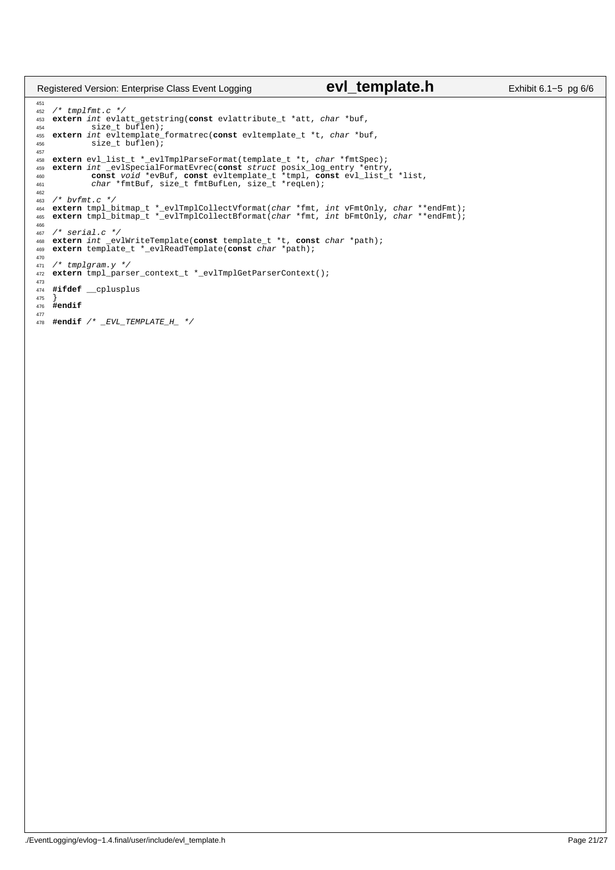## Registered Version: Enterprise Class Event Logging **evl\_template.h** Exhibit 6.1–5 pg 6/6

 <sup>452</sup> /\* tmplfmt.c \*/ **extern** int evlatt\_getstring(**const** evlattribute\_t \*att, *char* \*buf, size\_t buflen); size\_t buflen); <sup>455</sup> **extern** int evltemplate\_formatrec(**const** evltemplate\_t \*t, char \*buf, <sup>456</sup> size\_t buflen); **extern** evl\_list\_t \*\_evlTmplParseFormat(template\_t \*t, char \*fmtSpec); 459 extern int \_evlSpecialFormatEvrec(const struct posix\_log\_entry \*entry,<br>460 const void \*evBuf, const evltemplate\_t \*tmpl, const evl\_list\_t \*list,<br>461 char \*fmtBuf, size\_t fmtBufLen, size\_t \*reqLen); /\* bvfmt.c \*<br>464 **extern** tmpl <sup>464</sup> **extern** tmpl\_bitmap\_t \*\_evlTmplCollectVformat(char \*fmt, int vFmtOnly, char \*\*endFmt); **extern** tmpl\_bitmap\_t \*\_evlTmplCollectBformat(char \*fmt, int bFmtOnly, char \*\*endFmt); 466<br>467 /\* serial.c \*/<br> $468$  extern int \_ev <sup>468</sup> **extern** int \_evlWriteTemplate(**const** template\_t \*t, **const** char \*path); **extern** template\_t \*\_evlReadTemplate(**const** char \*path);  $471 / *$  tmplgram.  $y * /$  **extern** tmpl\_parser\_context\_t \*\_evlTmplGetParserContext(); **#ifdef** \_\_cplusplus } **#endif #endif** /\* \_EVL\_TEMPLATE\_H\_ \*/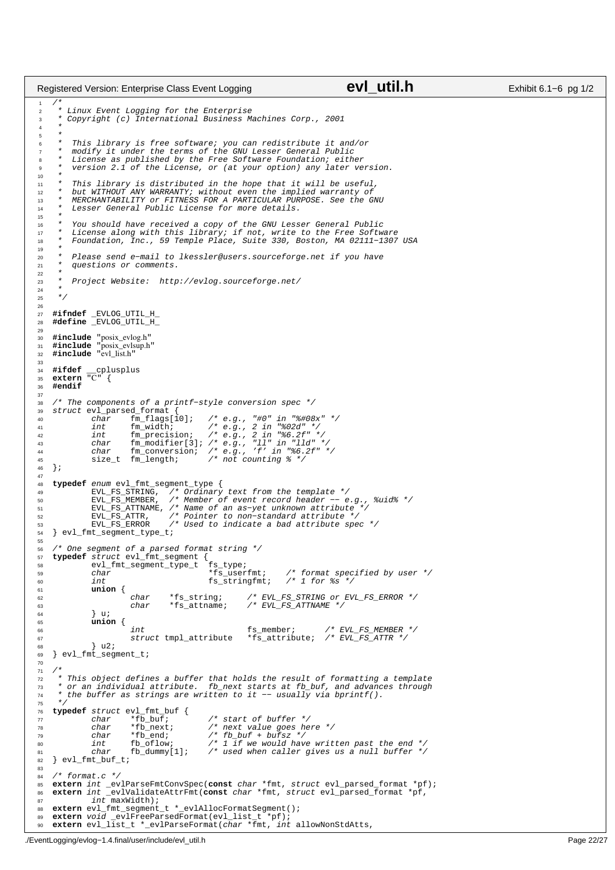```
/*
2 * Linux Event Logging for the Enterprise
<sup>2</sup><br>3 * Copyright (c) International Business Machines Corp., 2001<br>4 *
 4 *
\frac{5}{6}This library is free software; you can redistribute it and/or
 7 * modify it under the terms of the GNU Lesser General Public
8 * License as published by the Free Software Foundation; either
            version 2.1 of the License, or (at your option) any later version.
10<br>1111 * This library is distributed in the hope that it will be useful,
12 * but WITHOUT ANY WARRANTY; without even the implied warranty of
13 * MERCHANTABILITY or FITNESS FOR A PARTICULAR PURPOSE. See the GNU
14 * Lesser General Public License for more details.
15
 16 * You should have received a copy of the GNU Lesser General Public
17 * License along with this library; if not, write to the Free Software
18 * Foundation, Inc., 59 Temple Place, Suite 330, Boston, MA 02111−1307 USA
19<br>20
 20 * Please send e−mail to lkessler@users.sourceforge.net if you have
21 * questions or comments.
rac{22}{23}Project Website: http://evlog.sourceforge.net/
rac{24}{25}* /
26
 27 #ifndef _EVLOG_UTIL_H_
28 #define _EVLOG_UTIL_H_
29
 30 #include "posix_evlog.h"
31 #include "posix_evlsup.h"
32 #include "evl_list.h"
33
 34 #ifdef __cplusplus
35 extern "C" {
36 #endif
37
38 /* The components of a printf−style conversion spec */
 39 struct evl_parsed_format {
40 char fm_flags[10]; /* e.g., "#0" in "%#08x" */
 41 int fm_width; /* e.g., 2 in "%02d" */
42 int fm_precision; /* e.g., 2 in "%6.2f" */
 43 char fm_modifier[3]; /* e.g., "ll" in "lld" */
44 char fm_conversion; /* e.g., 'f' in "%6.2f" */
45 size_t fm_length; /* not counting % */
46 };
47
 48 typedef enum evl_fmt_segment_type {<br>49 EVL_FS_STRING, /* Ordinary text from the template */<br>50 EVL_FS_MEMBER, /* Member of event record header -- e.g., %uid% */<br>51 EVL_FS_ATTNAME, /* Name of an as-yet unknown attribut
 52 EVL_FS_ATTR, /* Pointer to non−standard attribute */
53 EVL_FS_ERROR /* Used to indicate a bad attribute spec */
54 } evl_fmt_segment_type_t;
55
 56 /* One segment of a parsed format string */
57 typedef struct evl_fmt_segment {
58 evl_fmt_segment_type_t fs_type;<br>59 char *fs_userfmt;
\begin{array}{lcl}\n\text{59} & \text{char} & - & - & \text{``fs_userfmt;} \\
\text{60} & \text{int} & \text{fs\_stringfmt;} & \text{/* format specified by user */} \\
\text{61} & \text{fs\_stringfmt;} & \text{/* 1 for } \text{fs} \text{''} \\
\end{array}/* 1 for ss */
61 union {
 62 char *fs_string; /* EVL_FS_STRING or EVL_FS_ERROR */
63 char *fs_attname; /* EVL_FS_ATTNAME */
\begin{array}{ccc} 64 & & & \end{array} ui
65 union {
 66 int fs_member; /* EVL_FS_MEMBER */
67 struct tmpl_attribute *fs_attribute; /* EVL_FS_ATTR */
68 } u2;
69 } evl_fmt_segment_t;
70
71<br>72
72 * This object defines a buffer that holds the result of formatting a template
 73 * or an individual attribute. fb_next starts at fb_buf, and advances through
74 * the buffer as strings are written to it −− usually via bprintf().
 75 */
76 typedef struct evl_fmt_buf {
 77 char *fb_buf; /* start of buffer */
78 char *fb_next; /* next value goes here */
79 char *fb_end; /* fb_buf + bufsz */
 80 int fb_oflow; /* 1 if we would have written past the end */
81 char fb_dummy[1]; /* used when caller gives us a null buffer */
\begin{array}{ll}\n\text{so} & \text{int} & \text{f}_D \text{of} \text{low}; \\
\text{B1} & \text{char} & \text{f}_D \text{down} \\
\text{B2} & \text{evl\_fmt\_buf\_t};\n\end{array}83
84 /* format.c */<br>85 extern int ev
 85 extern int _evlParseFmtConvSpec(const char *fmt, struct evl_parsed_format *pf);
86 extern int _evlValidateAttrFmt(const char *fmt, struct evl_parsed_format *pf,
87 int maxWidth);<br>88 extern evl_fmt_segment
88 extern evl_fmt_segment_t *_evlAllocFormatSegment();<br>89 extern void evlFreeParsedFormat(evl list t *pf);
 89 extern void _evlFreeParsedFormat(evl_list_t *pf);
90 extern evl_list_t *_evlParseFormat(char *fmt, int allowNonStdAtts,
Registered Version: Enterprise Class Event Logging evidence Countries Class Exhibit 6.1–6 pg 1/2
```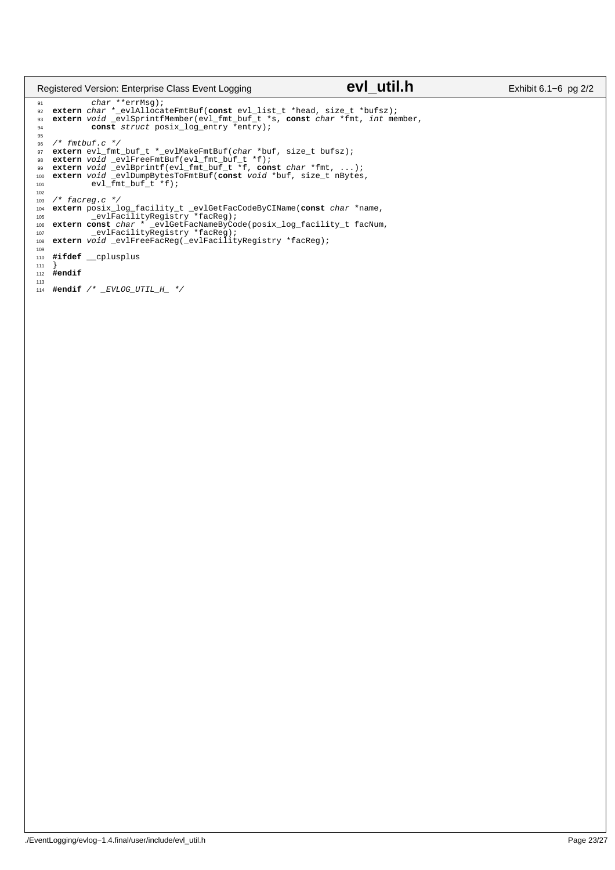## Registered Version: Enterprise Class Event Logging **evidence Case Constant Constantine Constant** Exhibit 6.1−6 pg 2/2

% char \*\*errMsg);<br>% extern *char* \*\_evlAllocateFmtBuf(**const** evl\_list\_t \*head, size\_t \*bufsz);<br>% extern void \_evlSprintfMember(evl\_fmt\_buf\_t \*s, **const** *char* \*fmt, *int* member,<br>% const struct posix\_log\_entry \*entry); 95  $96$  /\* fmtbuf.c \*/ 97 extern evl\_fmt\_buf\_t \*\_evlMakeFmtBuf(char \*buf, size\_t bufsz);<br>98 extern void \_evlFreeFmtBuf(evl\_fmt\_buf\_t \*f);<br>99 extern void \_evlBprintf(evl\_fmt\_buf\_t \*f);<br>100 extern void \_evlDumpBytesToFmtBuf(const void \*buf, size\_t 102  $1*$  facreg.c  $*/$ 104 extern posix\_log\_facility\_t \_evlGetFacCodeByCIName(const char \*name,<br>105 extern const char \*=evlFacilityRegistry \*facReg);<br>106 extern const char \*=evlGetFacNameByCode(posix\_log\_facility\_t facNum,<br>107 evlFacilityRegistr 109 <sup>110</sup> **#ifdef** \_\_cplusplus <sup>111</sup> }  $112 \text{ } \text{Hendif}$ 113 <sup>114</sup> **#endif** /\* \_EVLOG\_UTIL\_H\_ \*/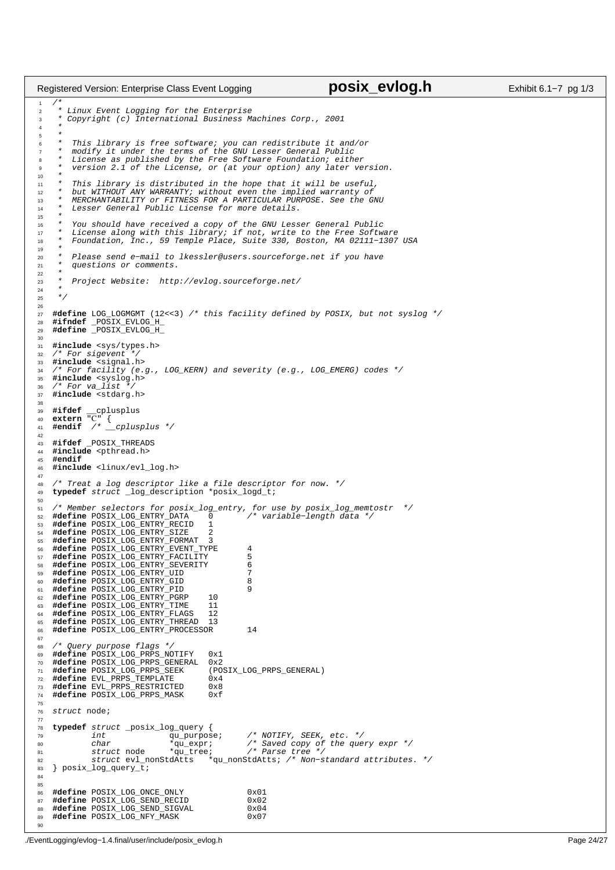```
/*
2 * Linux Event Logging for the Enterprise
<sup>2</sup><br>3 * Copyright (c) International Business Machines Corp., 2001<br>4 *
 4 *
\frac{5}{6}This library is free software; you can redistribute it and/or
7 * modify it under the terms of the GNU Lesser General Public
8 * License as published by the Free Software Foundation; either
         version 2.1 of the License, or (at your option) any later version.
10<br>1111 * This library is distributed in the hope that it will be useful,
12 * but WITHOUT ANY WARRANTY; without even the implied warranty of
13 * MERCHANTABILITY or FITNESS FOR A PARTICULAR PURPOSE. See the GNU
14 * Lesser General Public License for more details.
15
16 * You should have received a copy of the GNU Lesser General Public
17 * License along with this library; if not, write to the Free Software
18 * Foundation, Inc., 59 Temple Place, Suite 330, Boston, MA 02111−1307 USA
19<br>2020 * Please send e−mail to lkessler@users.sourceforge.net if you have
         questions or comments.
rac{22}{23}Project Website: http://evlog.sourceforge.net/
24<br>25* /
26
27 #define LOG_LOGMGMT (12<<3) /* this facility defined by POSIX, but not syslog */
28 #ifndef _POSIX_EVLOG_H_
29 #define _POSIX_EVLOG_H_
30<sup>31</sup> #include <sys/types.h><br>32 /* For sigevent */
       For sigevent
33 #include <signal.h><br>34 /* For facility (e.
34 /* For facility (e.g., LOG_KERN) and severity (e.g., LOG_EMERG) codes */<br>35 \#include syslog.h>
35 #include <syslog.h>
36 /* For va_list */
37 #include <stdarg.h>
38
39 #ifdef __cplusplus<br>40 extern "C" {
40 extern "C" {
41 #endif /* __cplusplus */
42
43 #ifdef _POSIX_THREADS
44 #include <pthread.h>
    45 #endif
46 #include <linux/evl_log.h>
47
48 /* Treat a log descriptor like a file descriptor for now. */
49 typedef struct _log_description *posix_logd_t;
50
51 /* Member selectors for posix_log_entry, for use by posix_log_memtostr */
52 #define POSIX_LOG_ENTRY_DATA 0 /* variable−length data */
53 #define POSIX_LOG_ENTRY_RECID 1
54 #define POSIX_LOG_ENTRY_SIZE 2
    55 #define POSIX_LOG_ENTRY_FORMAT 3
56 #define POSIX_LOG_ENTRY_EVENT_TYPE 4
    57 #define POSIX_LOG_ENTRY_FACILITY 5
58 #define POSIX_LOG_ENTRY_SEVERITY 6
    59 #define POSIX_LOG_ENTRY_UID 7
60 #define POSIX_LOG_ENTRY_GID 8
<sup>61</sup> #define POSIX_LOG_ENTRY_PID<br><sup>62</sup> #define POSIX LOG_ENTRY_PGRP   10
62 #define POSIX_LOG_ENTRY_PGRP 10
63 #define POSIX_LOG_ENTRY_TIME 11
    64 #define POSIX_LOG_ENTRY_FLAGS 12
65 #define POSIX_LOG_ENTRY_THREAD 13
66 #define POSIX_LOG_ENTRY_PROCESSOR 14
67
68 /* Query purpose flags */
69 #define POSIX_LOG_PRPS_NOTIFY 0x1
70 #define POSIX_LOG_PRPS_GENERAL 0x2
71 #define POSIX_LOG_PRPS_SEEK (POSIX_LOG_PRPS_GENERAL)
72 #define EVL_PRPS_TEMPLATE 0x4
73 #define EVL_PRPS_RESTRICTED 0x8
74 #define POSIX_LOG_PRPS_MASK 0xf
75
76 struct node;
77
78 typedef struct _posix_log_query {<br>
79 int qu_purpose;
                                     %\frace{\mumb{\sqmath}}}\purpose; /* NOTIFY, SEEK, etc. */<br>*qu_expr; /* Saved copy of the que.<br>*qu_tree; /* Parse tree */
80 char *qu_expr; /* Saved copy of the query expr */
81 struct node *qu_tree; /* Parse tree */
82 struct evl_nonStdAtts *qu_nonStdAtts; /* Non−standard attributes. */
   83 } posix_log_query_t;
84
85
86 #define POSIX_LOG_ONCE_ONLY 0x01
87 #define POSIX_LOG_SEND_RECID 0x02
88 #define POSIX_LOG_SEND_SIGVAL 0x04<br>89 #define POSIX LOG NFY MASK 0x07
    #define POSIX_LOG_NFY_MASK
90
Registered Version: Enterprise Class Event Logging posix evlog.h Exhibit 6.1−7 pg 1/3
```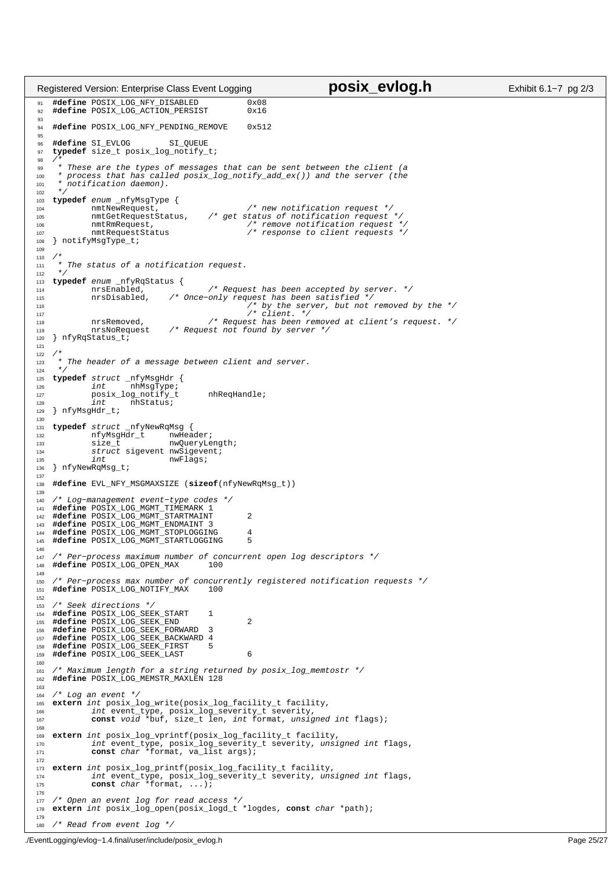```
91 #define POSIX_LOG_NFY_DISABLED 0x08
92 #define POSIX_LOG_ACTION_PERSIST 0x16
93
94 #define POSIX_LOG_NFY_PENDING_REMOVE 0x512
95
96 #define SI_EVLOG SI_QUEUE
97 typedef size_t posix_log_notify_t;
98<br>99
99 * These are the types of messages that can be sent between the client (a
<sup>100</sup> * process that has called posix_log_notify_add_ex()) and the server (the * notification daemon).
        notification daemon).
102<br>103
<sup>103</sup> typedef enum _nfyMsgType {<br>
<sup>104</sup> mmtNewRequest,<br>
<sup>105</sup> mmtGetRequestStatus,
104 104 nmtNewRequest, \frac{1}{105} /* new notification request */<br>105 nmtCetPequestStatus /* qet status of notification request
                                              10<sup>2</sup> nm 10<sup>2</sup> nm 10<sup>2</sup> notification request */
106 nmtRmRequest, /* remove notification request */
107 nmtRequestStatus /* response to client requests */
108 } notifyMsgType_t;
109
110<br>111* The status of a notification request.
112<br>113
113 typedef enum _nfyRqStatus {
114 114 nrsEnabled, \frac{1}{115} /* Request has been accepted by server. */<br>115 nrsDisabled. /* Once-only request has been satisfied */
115 nrsDisabled, /* Once-only request has been satisfied */<br>116 /* by the server, but not removed by the */<br>117 /* client. */
118 118 nrsRemoved, \frac{1}{8} are \frac{1}{8} request has been removed at client's request. */<br>119 nrsNoRequest /* Request not found by server */
119 nrsNoRequest \frac{1}{20} here is \frac{1}{20} here is \frac{1}{20} here is \frac{1}{20} here is \frac{1}{20} here is \frac{1}{20} here is \frac{1}{20} is \frac{1}{20} is \frac{1}{20} is \frac{1}{20} is \frac{1}{20} is \frac{1}{20} is \frac{1}{} nfyRqStatus_t;
121
122123 * The header of a message between client and server.
124<br>125125 typedef struct _nfyMsgHdr {
                          -<br>nhMsqType;"
127 posix_log_notify_t nhReqHandle;<br>128 1nt nhStatus;
128 int nhStatus;<br>129 hfyMsgHdr_t;
    } nfyMsgHdr_t;
130
131 typedef struct _nfyNewRqMsg {
132 132 nfyMsgHdr_t nwHeader;<br>133 size t nwOueryLe
133 size_t nwQueryLength;<br>134 struct sigevent nwSigevent;
                struct sigevent nwSigevent;<br>int nwFlags;
135 int nwFlags;
136 } nfyNewRqMsg_t;
137
138 #define EVL_NFY_MSGMAXSIZE (sizeof(nfyNewRqMsg_t))
139
140 /* Log−management event−type codes */
141 #define POSIX_LOG_MGMT_TIMEMARK 1
142 #define POSIX_LOG_MGMT_STARTMAINT 2
    143 #define POSIX_LOG_MGMT_ENDMAINT 3
144 #define POSIX_LOG_MGMT_STOPLOGGING 4
145 #define POSIX_LOG_MGMT_STARTLOGGING 5
146
147 /* Per−process maximum number of concurrent open log descriptors */
    #define POSIX_LOG_OPEN_MAX
149
150 /* Per−process max number of concurrently registered notification requests */
151 #define POSIX_LOG_NOTIFY_MAX 100
152
153 /* Seek directions *,<br>154 #define POSIX LOG SE
    154 #define POSIX_LOG_SEEK_START 1
155 #define POSIX_LOG_SEEK_END 2
156 #define POSIX_LOG_SEEK_FORWARD 3
157 #define POSIX_LOG_SEEK_BACKWARD 4
    158 #define POSIX_LOG_SEEK_FIRST 5
159 #define POSIX_LOG_SEEK_LAST 6
160
161 /* Maximum length for a string returned by posix_log_memtostr */
162 #define POSIX_LOG_MEMSTR_MAXLEN 128
163
164 /* Log an event */<br>165 extern int posix 1
165 extern int posix_log_write(posix_log_facility_t facility,<br>166 int event_type, posix_log_severity_t severity,<br>167 const void *buf, size_t len, int format, unsigned int flags);
168
169 extern int posix_log_vprintf(posix_log_facility_t facility,
170 int event_type, posix_log_severity_t severity, unsigned int flags,
171 const char *format, va_list args);
172
173 extern int posix_log_printf(posix_log_facility_t facility,
174 int event_type, posix_log_severity_t severity, unsigned int flags,
175 const char *format, ...);
176
177 /* Open an event log for read access */<br>178 extern int posix_log_open(posix_logd_t
    178 extern int posix_log_open(posix_logd_t *logdes, const char *path);
179
180 /* Read from event log */
Registered Version: Enterprise Class Event Logging posix evlog.h Exhibit 6.1−7 pg 2/3
```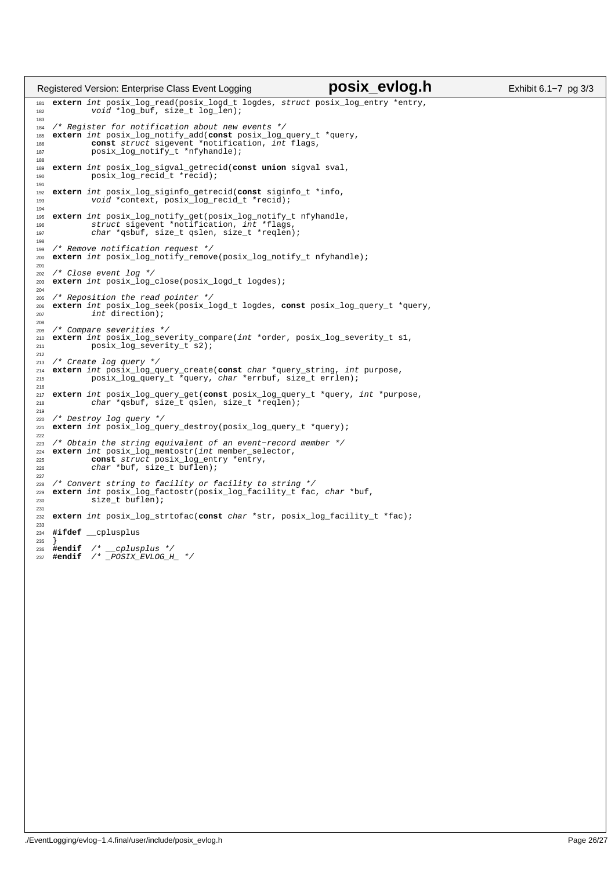```
181 extern int posix_log_read(posix_logd_t logdes, struct posix_log_entry *entry,
182 void *log_buf, size_t log_len); 
183
184 /* Register for notification about new events */
185 extern int posix_log_notify_add(const posix_log_query_t *query,
186 const struct sigevent *notification, int flags,
187 posix_log_notify_t *nfyhandle);
188
189 extern int posix_log_sigval_getrecid(const union sigval sval,
190 posix_log_recid_t *recid);
191
192 extern int posix_log_siginfo_getrecid(const siginfo_t *info,
193 void *context, posix_log_recid_t *recid);
194 
195 extern int posix_log_notify_get(posix_log_notify_t nfyhandle,
196 struct sigevent *notification, int *flags,
197 char *qsbuf, size_t qslen, size_t *reqlen);
198
199 /* Remove notification request */
200 extern int posix_log_notify_remove(posix_log_notify_t nfyhandle);
201
202 /* Close event log */
203 extern int posix_log_close(posix_logd_t logdes);
204
205 /* Reposition the read pointer */
206 extern int posix_log_seek(posix_logd_t logdes, const posix_log_query_t *query,
207 int direction); 
208
209 /* Compare severities */
210 extern int posix_log_severity_compare(int *order, posix_log_severity_t s1,
211 posix_log_severity_t s2);
212
213 /* Create log query */
214 extern int posix_log_query_create(const char *query_string, int purpose,
              posix_log_query_t *query, char *errbuf, size_t errlen);
216
217 extern int posix_log_query_get(const posix_log_query_t *query, int *purpose,
218 char *qsbuf, size_t qslen, size_t *reqlen);
219
220 /* Destroy log query */
221 extern int posix_log_query_destroy(posix_log_query_t *query);
222
223 /* Obtain the string equivalent of an event-record member */<br>224 extern int posix log memtostr(int member selector,
224 extern int posix_log_memtostr(int member_selector,<br>225 const struct posix log entry *entry,
225 const struct posix_log_entry *entry,
226 char *buf, size_t buflen);
227
228 /* Convert string to facility or facility to string */
229 extern int posix_log_factostr(posix_log_facility_t fac, char *buf,
230 size_t buflen);
231
232 extern int posix_log_strtofac(const char *str, posix_log_facility_t *fac);
233
234 #ifdef __cplusplus
235236 #endif /* __cplusplus */
237 #endif /* _POSIX_EVLOG_H_ */
Registered Version: Enterprise Class Event Logging posix evlog.h Exhibit 6.1−7 pg 3/3
```